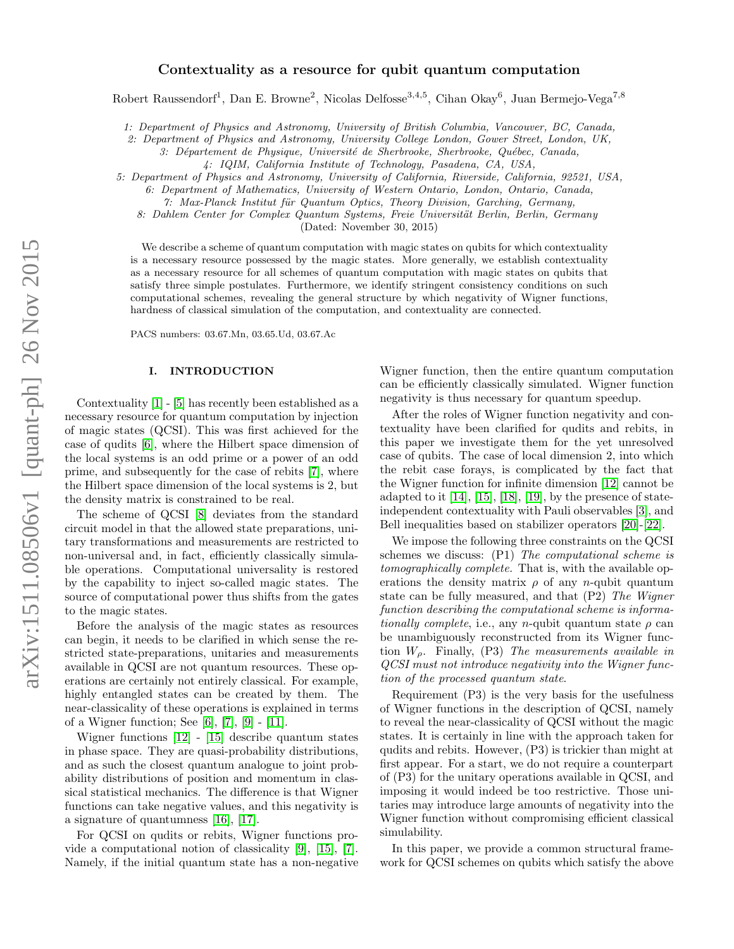# Contextuality as a resource for qubit quantum computation

Robert Raussendorf<sup>1</sup>, Dan E. Browne<sup>2</sup>, Nicolas Delfosse<sup>3,4,5</sup>, Cihan Okay<sup>6</sup>, Juan Bermejo-Vega<sup>7,8</sup>

1: Department of Physics and Astronomy, University of British Columbia, Vancouver, BC, Canada,

2: Department of Physics and Astronomy, University College London, Gower Street, London, UK,

3: Département de Physique, Université de Sherbrooke, Sherbrooke, Québec, Canada,

5: Department of Physics and Astronomy, University of California, Riverside, California, 92521, USA,

6: Department of Mathematics, University of Western Ontario, London, Ontario, Canada,

7: Max-Planck Institut für Quantum Optics, Theory Division, Garching, Germany,

8: Dahlem Center for Complex Quantum Systems, Freie Universität Berlin, Berlin, Germany

(Dated: November 30, 2015)

We describe a scheme of quantum computation with magic states on qubits for which contextuality is a necessary resource possessed by the magic states. More generally, we establish contextuality as a necessary resource for all schemes of quantum computation with magic states on qubits that satisfy three simple postulates. Furthermore, we identify stringent consistency conditions on such computational schemes, revealing the general structure by which negativity of Wigner functions, hardness of classical simulation of the computation, and contextuality are connected.

PACS numbers: 03.67.Mn, 03.65.Ud, 03.67.Ac

# <span id="page-0-0"></span>I. INTRODUCTION

Contextuality [\[1\]](#page-20-0) - [\[5\]](#page-20-1) has recently been established as a necessary resource for quantum computation by injection of magic states (QCSI). This was first achieved for the case of qudits [\[6\]](#page-20-2), where the Hilbert space dimension of the local systems is an odd prime or a power of an odd prime, and subsequently for the case of rebits [\[7\]](#page-20-3), where the Hilbert space dimension of the local systems is 2, but the density matrix is constrained to be real.

The scheme of QCSI [\[8\]](#page-20-4) deviates from the standard circuit model in that the allowed state preparations, unitary transformations and measurements are restricted to non-universal and, in fact, efficiently classically simulable operations. Computational universality is restored by the capability to inject so-called magic states. The source of computational power thus shifts from the gates to the magic states.

Before the analysis of the magic states as resources can begin, it needs to be clarified in which sense the restricted state-preparations, unitaries and measurements available in QCSI are not quantum resources. These operations are certainly not entirely classical. For example, highly entangled states can be created by them. The near-classicality of these operations is explained in terms of a Wigner function; See [\[6\]](#page-20-2), [\[7\]](#page-20-3), [\[9\]](#page-20-5) - [\[11\]](#page-20-6).

Wigner functions [\[12\]](#page-20-7) - [\[15\]](#page-20-8) describe quantum states in phase space. They are quasi-probability distributions, and as such the closest quantum analogue to joint probability distributions of position and momentum in classical statistical mechanics. The difference is that Wigner functions can take negative values, and this negativity is a signature of quantumness [\[16\]](#page-20-9), [\[17\]](#page-20-10).

For QCSI on qudits or rebits, Wigner functions provide a computational notion of classicality [\[9\]](#page-20-5), [\[15\]](#page-20-8), [\[7\]](#page-20-3). Namely, if the initial quantum state has a non-negative

Wigner function, then the entire quantum computation can be efficiently classically simulated. Wigner function negativity is thus necessary for quantum speedup.

After the roles of Wigner function negativity and contextuality have been clarified for qudits and rebits, in this paper we investigate them for the yet unresolved case of qubits. The case of local dimension 2, into which the rebit case forays, is complicated by the fact that the Wigner function for infinite dimension [\[12\]](#page-20-7) cannot be adapted to it [\[14\]](#page-20-11), [\[15\]](#page-20-8), [\[18\]](#page-20-12), [\[19\]](#page-20-13), by the presence of stateindependent contextuality with Pauli observables [\[3\]](#page-20-14), and Bell inequalities based on stabilizer operators [\[20\]](#page-20-15)-[\[22\]](#page-20-16).

We impose the following three constraints on the QCSI schemes we discuss: (P1) The computational scheme is tomographically complete. That is, with the available operations the density matrix  $\rho$  of any n-qubit quantum state can be fully measured, and that (P2) The Wigner function describing the computational scheme is informationally complete, i.e., any n-qubit quantum state  $\rho$  can be unambiguously reconstructed from its Wigner function  $W_{\rho}$ . Finally, (P3) The measurements available in QCSI must not introduce negativity into the Wigner function of the processed quantum state.

Requirement (P3) is the very basis for the usefulness of Wigner functions in the description of QCSI, namely to reveal the near-classicality of QCSI without the magic states. It is certainly in line with the approach taken for qudits and rebits. However, (P3) is trickier than might at first appear. For a start, we do not require a counterpart of (P3) for the unitary operations available in QCSI, and imposing it would indeed be too restrictive. Those unitaries may introduce large amounts of negativity into the Wigner function without compromising efficient classical simulability.

In this paper, we provide a common structural framework for QCSI schemes on qubits which satisfy the above

<sup>4:</sup> IQIM, California Institute of Technology, Pasadena, CA, USA,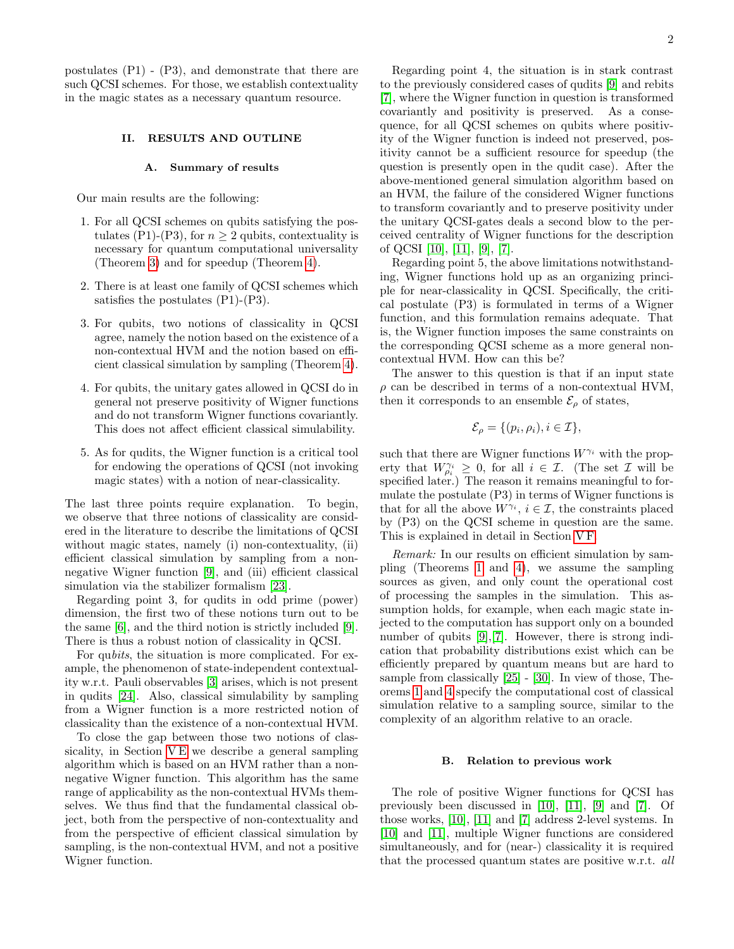postulates (P1) - (P3), and demonstrate that there are such QCSI schemes. For those, we establish contextuality in the magic states as a necessary quantum resource.

# II. RESULTS AND OUTLINE

#### <span id="page-1-0"></span>A. Summary of results

Our main results are the following:

- 1. For all QCSI schemes on qubits satisfying the postulates (P1)-(P3), for  $n \geq 2$  qubits, contextuality is necessary for quantum computational universality (Theorem [3\)](#page-13-0) and for speedup (Theorem [4\)](#page-14-0).
- 2. There is at least one family of QCSI schemes which satisfies the postulates (P1)-(P3).
- 3. For qubits, two notions of classicality in QCSI agree, namely the notion based on the existence of a non-contextual HVM and the notion based on efficient classical simulation by sampling (Theorem [4\)](#page-14-0).
- 4. For qubits, the unitary gates allowed in QCSI do in general not preserve positivity of Wigner functions and do not transform Wigner functions covariantly. This does not affect efficient classical simulability.
- 5. As for qudits, the Wigner function is a critical tool for endowing the operations of QCSI (not invoking magic states) with a notion of near-classicality.

The last three points require explanation. To begin, we observe that three notions of classicality are considered in the literature to describe the limitations of QCSI without magic states, namely (i) non-contextuality, (ii) efficient classical simulation by sampling from a nonnegative Wigner function [\[9\]](#page-20-5), and (iii) efficient classical simulation via the stabilizer formalism [\[23\]](#page-20-17).

Regarding point 3, for qudits in odd prime (power) dimension, the first two of these notions turn out to be the same [\[6\]](#page-20-2), and the third notion is strictly included [\[9\]](#page-20-5). There is thus a robust notion of classicality in QCSI.

For qubits, the situation is more complicated. For example, the phenomenon of state-independent contextuality w.r.t. Pauli observables [\[3\]](#page-20-14) arises, which is not present in qudits [\[24\]](#page-20-18). Also, classical simulability by sampling from a Wigner function is a more restricted notion of classicality than the existence of a non-contextual HVM.

To close the gap between those two notions of classicality, in Section VE we describe a general sampling algorithm which is based on an HVM rather than a nonnegative Wigner function. This algorithm has the same range of applicability as the non-contextual HVMs themselves. We thus find that the fundamental classical object, both from the perspective of non-contextuality and from the perspective of efficient classical simulation by sampling, is the non-contextual HVM, and not a positive Wigner function.

Regarding point 4, the situation is in stark contrast to the previously considered cases of qudits [\[9\]](#page-20-5) and rebits [\[7\]](#page-20-3), where the Wigner function in question is transformed covariantly and positivity is preserved. As a consequence, for all QCSI schemes on qubits where positivity of the Wigner function is indeed not preserved, positivity cannot be a sufficient resource for speedup (the question is presently open in the qudit case). After the above-mentioned general simulation algorithm based on an HVM, the failure of the considered Wigner functions to transform covariantly and to preserve positivity under the unitary QCSI-gates deals a second blow to the perceived centrality of Wigner functions for the description of QCSI [\[10\]](#page-20-19), [\[11\]](#page-20-6), [\[9\]](#page-20-5), [\[7\]](#page-20-3).

Regarding point 5, the above limitations notwithstanding, Wigner functions hold up as an organizing principle for near-classicality in QCSI. Specifically, the critical postulate (P3) is formulated in terms of a Wigner function, and this formulation remains adequate. That is, the Wigner function imposes the same constraints on the corresponding QCSI scheme as a more general noncontextual HVM. How can this be?

The answer to this question is that if an input state  $\rho$  can be described in terms of a non-contextual HVM, then it corresponds to an ensemble  $\mathcal{E}_{\rho}$  of states,

$$
\mathcal{E}_{\rho} = \{ (p_i, \rho_i), i \in \mathcal{I} \},
$$

such that there are Wigner functions  $W^{\gamma_i}$  with the property that  $W_{\rho_i}^{\gamma_i} \geq 0$ , for all  $i \in \mathcal{I}$ . (The set  $\mathcal{I}$  will be specified later.) The reason it remains meaningful to formulate the postulate (P3) in terms of Wigner functions is that for all the above  $W^{\gamma_i}$ ,  $i \in \mathcal{I}$ , the constraints placed by (P3) on the QCSI scheme in question are the same. This is explained in detail in Section [V F.](#page-15-0)

Remark: In our results on efficient simulation by sampling (Theorems [1](#page-8-0) and [4\)](#page-14-0), we assume the sampling sources as given, and only count the operational cost of processing the samples in the simulation. This assumption holds, for example, when each magic state injected to the computation has support only on a bounded number of qubits [\[9\]](#page-20-5), [\[7\]](#page-20-3). However, there is strong indication that probability distributions exist which can be efficiently prepared by quantum means but are hard to sample from classically [\[25\]](#page-20-20) - [\[30\]](#page-20-21). In view of those, Theorems [1](#page-8-0) and [4](#page-14-0) specify the computational cost of classical simulation relative to a sampling source, similar to the complexity of an algorithm relative to an oracle.

#### B. Relation to previous work

The role of positive Wigner functions for QCSI has previously been discussed in [\[10\]](#page-20-19), [\[11\]](#page-20-6), [\[9\]](#page-20-5) and [\[7\]](#page-20-3). Of those works, [\[10\]](#page-20-19), [\[11\]](#page-20-6) and [\[7\]](#page-20-3) address 2-level systems. In [\[10\]](#page-20-19) and [\[11\]](#page-20-6), multiple Wigner functions are considered simultaneously, and for (near-) classicality it is required that the processed quantum states are positive w.r.t. all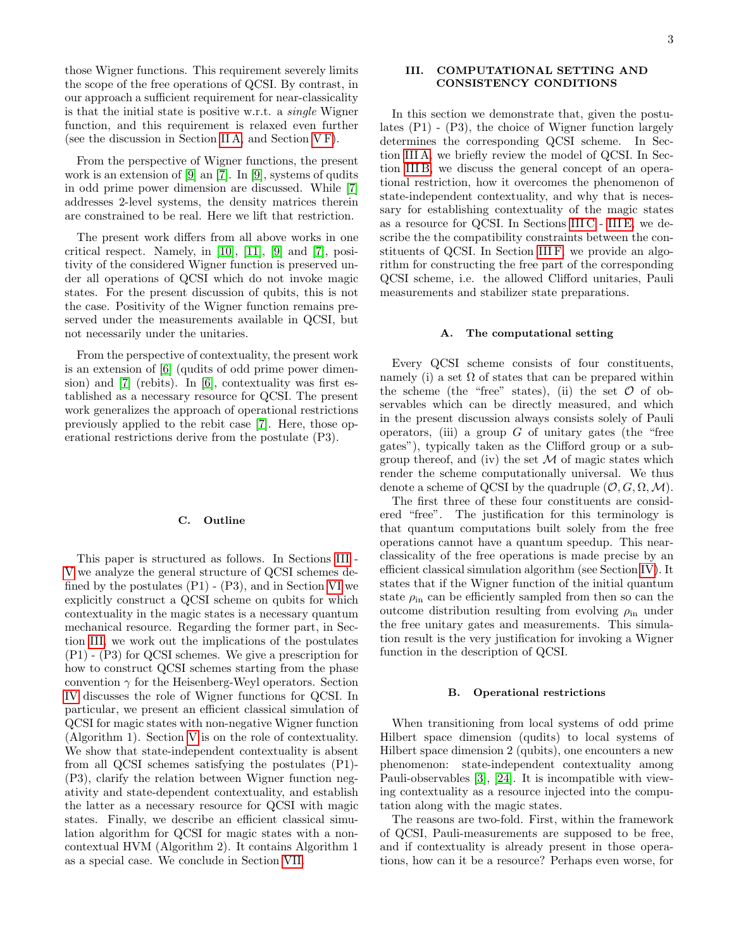those Wigner functions. This requirement severely limits the scope of the free operations of QCSI. By contrast, in our approach a sufficient requirement for near-classicality is that the initial state is positive w.r.t. a single Wigner function, and this requirement is relaxed even further (see the discussion in Section [II A,](#page-1-0) and Section [V F\)](#page-15-0).

From the perspective of Wigner functions, the present work is an extension of [\[9\]](#page-20-5) an [\[7\]](#page-20-3). In [\[9\]](#page-20-5), systems of qudits in odd prime power dimension are discussed. While [\[7\]](#page-20-3) addresses 2-level systems, the density matrices therein are constrained to be real. Here we lift that restriction.

The present work differs from all above works in one critical respect. Namely, in [\[10\]](#page-20-19), [\[11\]](#page-20-6), [\[9\]](#page-20-5) and [\[7\]](#page-20-3), positivity of the considered Wigner function is preserved under all operations of QCSI which do not invoke magic states. For the present discussion of qubits, this is not the case. Positivity of the Wigner function remains preserved under the measurements available in QCSI, but not necessarily under the unitaries.

From the perspective of contextuality, the present work is an extension of [\[6\]](#page-20-2) (qudits of odd prime power dimension) and [\[7\]](#page-20-3) (rebits). In [\[6\]](#page-20-2), contextuality was first established as a necessary resource for QCSI. The present work generalizes the approach of operational restrictions previously applied to the rebit case [\[7\]](#page-20-3). Here, those operational restrictions derive from the postulate (P3).

#### C. Outline

This paper is structured as follows. In Sections [III](#page-2-0) - [V](#page-11-0) we analyze the general structure of QCSI schemes defined by the postulates (P1) - (P3), and in Section [VI](#page-17-0) we explicitly construct a QCSI scheme on qubits for which contextuality in the magic states is a necessary quantum mechanical resource. Regarding the former part, in Section [III,](#page-2-0) we work out the implications of the postulates (P1) - (P3) for QCSI schemes. We give a prescription for how to construct QCSI schemes starting from the phase convention  $\gamma$  for the Heisenberg-Weyl operators. Section [IV](#page-8-1) discusses the role of Wigner functions for QCSI. In particular, we present an efficient classical simulation of QCSI for magic states with non-negative Wigner function (Algorithm 1). Section [V](#page-11-0) is on the role of contextuality. We show that state-independent contextuality is absent from all QCSI schemes satisfying the postulates (P1)- (P3), clarify the relation between Wigner function negativity and state-dependent contextuality, and establish the latter as a necessary resource for QCSI with magic states. Finally, we describe an efficient classical simulation algorithm for QCSI for magic states with a noncontextual HVM (Algorithm 2). It contains Algorithm 1 as a special case. We conclude in Section [VII.](#page-19-0)

# <span id="page-2-0"></span>III. COMPUTATIONAL SETTING AND CONSISTENCY CONDITIONS

In this section we demonstrate that, given the postulates (P1) - (P3), the choice of Wigner function largely determines the corresponding QCSI scheme. In Section [III A,](#page-2-1) we briefly review the model of QCSI. In Section [III B,](#page-2-2) we discuss the general concept of an operational restriction, how it overcomes the phenomenon of state-independent contextuality, and why that is necessary for establishing contextuality of the magic states as a resource for QCSI. In Sections [III C](#page-3-0)- [III E,](#page-5-0) we describe the the compatibility constraints between the constituents of QCSI. In Section [III F,](#page-7-0) we provide an algorithm for constructing the free part of the corresponding QCSI scheme, i.e. the allowed Clifford unitaries, Pauli measurements and stabilizer state preparations.

### <span id="page-2-1"></span>A. The computational setting

Every QCSI scheme consists of four constituents, namely (i) a set  $\Omega$  of states that can be prepared within the scheme (the "free" states), (ii) the set  $\mathcal O$  of observables which can be directly measured, and which in the present discussion always consists solely of Pauli operators, (iii) a group  $G$  of unitary gates (the "free gates"), typically taken as the Clifford group or a subgroup thereof, and (iv) the set  $M$  of magic states which render the scheme computationally universal. We thus denote a scheme of QCSI by the quadruple  $(0, G, \Omega, \mathcal{M})$ .

The first three of these four constituents are considered "free". The justification for this terminology is that quantum computations built solely from the free operations cannot have a quantum speedup. This nearclassicality of the free operations is made precise by an efficient classical simulation algorithm (see Section [IV\)](#page-8-1). It states that if the Wigner function of the initial quantum state  $\rho_{\text{in}}$  can be efficiently sampled from then so can the outcome distribution resulting from evolving  $\rho_{\text{in}}$  under the free unitary gates and measurements. This simulation result is the very justification for invoking a Wigner function in the description of QCSI.

#### <span id="page-2-2"></span>B. Operational restrictions

When transitioning from local systems of odd prime Hilbert space dimension (qudits) to local systems of Hilbert space dimension 2 (qubits), one encounters a new phenomenon: state-independent contextuality among Pauli-observables [\[3\]](#page-20-14), [\[24\]](#page-20-18). It is incompatible with viewing contextuality as a resource injected into the computation along with the magic states.

The reasons are two-fold. First, within the framework of QCSI, Pauli-measurements are supposed to be free, and if contextuality is already present in those operations, how can it be a resource? Perhaps even worse, for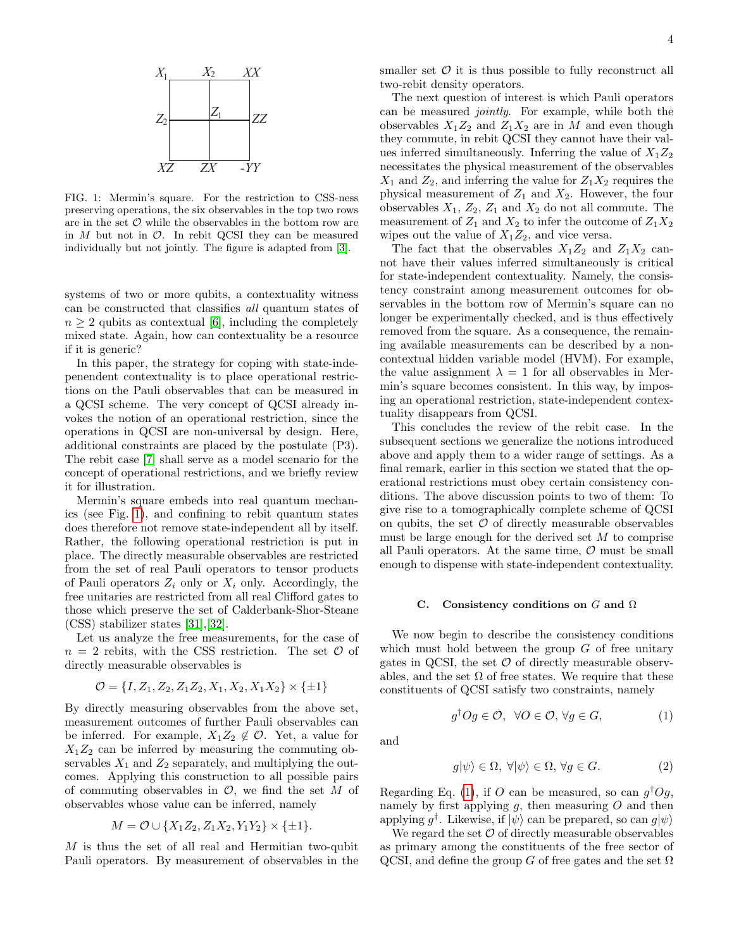

<span id="page-3-1"></span>FIG. 1: Mermin's square. For the restriction to CSS-ness preserving operations, the six observables in the top two rows are in the set  $O$  while the observables in the bottom row are in  $M$  but not in  $O$ . In rebit QCSI they can be measured individually but not jointly. The figure is adapted from [\[3\]](#page-20-14).

systems of two or more qubits, a contextuality witness can be constructed that classifies all quantum states of  $n \geq 2$  qubits as contextual [\[6\]](#page-20-2), including the completely mixed state. Again, how can contextuality be a resource if it is generic?

In this paper, the strategy for coping with state-indepenendent contextuality is to place operational restrictions on the Pauli observables that can be measured in a QCSI scheme. The very concept of QCSI already invokes the notion of an operational restriction, since the operations in QCSI are non-universal by design. Here, additional constraints are placed by the postulate (P3). The rebit case [\[7\]](#page-20-3) shall serve as a model scenario for the concept of operational restrictions, and we briefly review it for illustration.

Mermin's square embeds into real quantum mechanics (see Fig. [1\)](#page-3-1), and confining to rebit quantum states does therefore not remove state-independent all by itself. Rather, the following operational restriction is put in place. The directly measurable observables are restricted from the set of real Pauli operators to tensor products of Pauli operators  $Z_i$  only or  $X_i$  only. Accordingly, the free unitaries are restricted from all real Clifford gates to those which preserve the set of Calderbank-Shor-Steane (CSS) stabilizer states [\[31\]](#page-20-22),[\[32\]](#page-20-23).

Let us analyze the free measurements, for the case of  $n = 2$  rebits, with the CSS restriction. The set  $\mathcal O$  of directly measurable observables is

$$
\mathcal{O} = \{I, Z_1, Z_2, Z_1Z_2, X_1, X_2, X_1X_2\} \times \{\pm 1\}
$$

By directly measuring observables from the above set, measurement outcomes of further Pauli observables can be inferred. For example,  $X_1Z_2 \notin \mathcal{O}$ . Yet, a value for  $X_1Z_2$  can be inferred by measuring the commuting observables  $X_1$  and  $Z_2$  separately, and multiplying the outcomes. Applying this construction to all possible pairs of commuting observables in  $\mathcal{O}$ , we find the set M of observables whose value can be inferred, namely

$$
M = \mathcal{O} \cup \{X_1 Z_2, Z_1 X_2, Y_1 Y_2\} \times \{\pm 1\}.
$$

M is thus the set of all real and Hermitian two-qubit Pauli operators. By measurement of observables in the smaller set  $\mathcal O$  it is thus possible to fully reconstruct all two-rebit density operators.

The next question of interest is which Pauli operators can be measured jointly. For example, while both the observables  $X_1Z_2$  and  $Z_1X_2$  are in M and even though they commute, in rebit QCSI they cannot have their values inferred simultaneously. Inferring the value of  $X_1Z_2$ necessitates the physical measurement of the observables  $X_1$  and  $Z_2$ , and inferring the value for  $Z_1X_2$  requires the physical measurement of  $Z_1$  and  $X_2$ . However, the four observables  $X_1, Z_2, Z_1$  and  $X_2$  do not all commute. The measurement of  $Z_1$  and  $X_2$  to infer the outcome of  $Z_1X_2$ wipes out the value of  $X_1Z_2$ , and vice versa.

The fact that the observables  $X_1Z_2$  and  $Z_1X_2$  cannot have their values inferred simultaneously is critical for state-independent contextuality. Namely, the consistency constraint among measurement outcomes for observables in the bottom row of Mermin's square can no longer be experimentally checked, and is thus effectively removed from the square. As a consequence, the remaining available measurements can be described by a noncontextual hidden variable model (HVM). For example, the value assignment  $\lambda = 1$  for all observables in Mermin's square becomes consistent. In this way, by imposing an operational restriction, state-independent contextuality disappears from QCSI.

This concludes the review of the rebit case. In the subsequent sections we generalize the notions introduced above and apply them to a wider range of settings. As a final remark, earlier in this section we stated that the operational restrictions must obey certain consistency conditions. The above discussion points to two of them: To give rise to a tomographically complete scheme of QCSI on qubits, the set  $\mathcal O$  of directly measurable observables must be large enough for the derived set M to comprise all Pauli operators. At the same time,  $\mathcal O$  must be small enough to dispense with state-independent contextuality.

## <span id="page-3-0"></span>C. Consistency conditions on  $G$  and  $\Omega$

We now begin to describe the consistency conditions which must hold between the group  $G$  of free unitary gates in QCSI, the set  $\mathcal O$  of directly measurable observables, and the set  $\Omega$  of free states. We require that these constituents of QCSI satisfy two constraints, namely

<span id="page-3-2"></span>
$$
g^{\dagger}Og \in \mathcal{O}, \ \forall O \in \mathcal{O}, \forall g \in G, \tag{1}
$$

and

<span id="page-3-3"></span>
$$
g|\psi\rangle \in \Omega, \ \forall |\psi\rangle \in \Omega, \ \forall g \in G. \tag{2}
$$

Regarding Eq. [\(1\)](#page-3-2), if O can be measured, so can  $g^{\dagger}Og$ , namely by first applying  $q$ , then measuring  $O$  and then applying  $g^{\dagger}$ . Likewise, if  $|\psi\rangle$  can be prepared, so can  $g|\psi\rangle$ 

We regard the set  $\mathcal O$  of directly measurable observables as primary among the constituents of the free sector of QCSI, and define the group G of free gates and the set  $\Omega$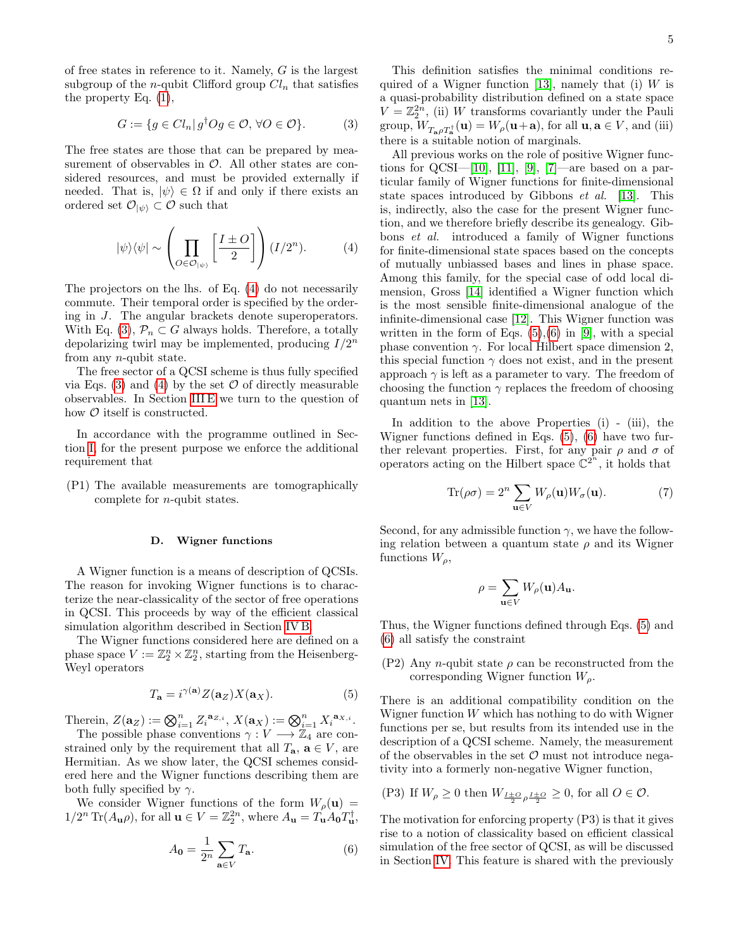of free states in reference to it. Namely, G is the largest subgroup of the *n*-qubit Clifford group  $Cl_n$  that satisfies the property Eq. [\(1\)](#page-3-2),

<span id="page-4-1"></span>
$$
G := \{ g \in Cl_n | g^\dagger O g \in \mathcal{O}, \forall O \in \mathcal{O} \}. \tag{3}
$$

The free states are those that can be prepared by measurement of observables in  $\mathcal{O}$ . All other states are considered resources, and must be provided externally if needed. That is,  $|\psi\rangle \in \Omega$  if and only if there exists an ordered set  $\mathcal{O}_{|\psi\rangle} \subset \mathcal{O}$  such that

<span id="page-4-0"></span>
$$
|\psi\rangle\langle\psi| \sim \left(\prod_{O \in \mathcal{O}_{|\psi\rangle}} \left[\frac{I \pm O}{2}\right] \right) (I/2^n). \tag{4}
$$

The projectors on the lhs. of Eq. [\(4\)](#page-4-0) do not necessarily commute. Their temporal order is specified by the ordering in J. The angular brackets denote superoperators. With Eq. [\(3\)](#page-4-1),  $\mathcal{P}_n \subset G$  always holds. Therefore, a totally depolarizing twirl may be implemented, producing  $I/2^n$ from any n-qubit state.

The free sector of a QCSI scheme is thus fully specified via Eqs. [\(3\)](#page-4-1) and [\(4\)](#page-4-0) by the set  $\mathcal O$  of directly measurable observables. In Section [III E](#page-5-0) we turn to the question of how  $\mathcal O$  itself is constructed.

In accordance with the programme outlined in Section [I,](#page-0-0) for the present purpose we enforce the additional requirement that

(P1) The available measurements are tomographically complete for n-qubit states.

#### D. Wigner functions

A Wigner function is a means of description of QCSIs. The reason for invoking Wigner functions is to characterize the near-classicality of the sector of free operations in QCSI. This proceeds by way of the efficient classical simulation algorithm described in Section [IV B.](#page-9-0)

The Wigner functions considered here are defined on a phase space  $V := \mathbb{Z}_2^n \times \mathbb{Z}_2^n$ , starting from the Heisenberg-Weyl operators

<span id="page-4-2"></span>
$$
T_{\mathbf{a}} = i^{\gamma(\mathbf{a})} Z(\mathbf{a}_Z) X(\mathbf{a}_X).
$$
 (5)

Therein,  $Z(\mathbf{a}_Z) := \bigotimes_{i=1}^n Z_i^{\mathbf{a}_{Z,i}}, X(\mathbf{a}_X) := \bigotimes_{i=1}^n X_i^{\mathbf{a}_{X,i}}.$ 

The possible phase conventions  $\gamma: V \longrightarrow \mathbb{Z}_4$  are constrained only by the requirement that all  $T_{a}$ ,  $a \in V$ , are Hermitian. As we show later, the QCSI schemes considered here and the Wigner functions describing them are both fully specified by  $\gamma$ .

We consider Wigner functions of the form  $W_\rho(\mathbf{u}) =$  $1/2^n \operatorname{Tr}(A_{\mathbf{u}}\rho)$ , for all  $\mathbf{u} \in V = \mathbb{Z}_2^{2n}$ , where  $A_{\mathbf{u}} = T_{\mathbf{u}} A_{\mathbf{0}} T_{\mathbf{u}}^{\dagger}$ ,

<span id="page-4-3"></span>
$$
A_0 = \frac{1}{2^n} \sum_{\mathbf{a} \in V} T_{\mathbf{a}}.\tag{6}
$$

This definition satisfies the minimal conditions re-quired of a Wigner function [\[13\]](#page-20-24), namely that (i)  $W$  is a quasi-probability distribution defined on a state space  $V = \mathbb{Z}_2^{2n}$ , (ii) W transforms covariantly under the Pauli group,  $W_{T_{\mathbf{a}}\rho T_{\mathbf{a}}^{\dagger}}(\mathbf{u}) = W_{\rho}(\mathbf{u}+\mathbf{a})$ , for all  $\mathbf{u}, \mathbf{a} \in V$ , and (iii) there is a suitable notion of marginals.

All previous works on the role of positive Wigner func-tions for QCSI—[\[10\]](#page-20-19), [\[11\]](#page-20-6), [\[9\]](#page-20-5), [\[7\]](#page-20-3)—are based on a particular family of Wigner functions for finite-dimensional state spaces introduced by Gibbons et al. [\[13\]](#page-20-24). This is, indirectly, also the case for the present Wigner function, and we therefore briefly describe its genealogy. Gibbons et al. introduced a family of Wigner functions for finite-dimensional state spaces based on the concepts of mutually unbiassed bases and lines in phase space. Among this family, for the special case of odd local dimension, Gross [\[14\]](#page-20-11) identified a Wigner function which is the most sensible finite-dimensional analogue of the infinite-dimensional case [\[12\]](#page-20-7). This Wigner function was written in the form of Eqs.  $(5),(6)$  $(5),(6)$  in [\[9\]](#page-20-5), with a special phase convention  $\gamma$ . For local Hilbert space dimension 2, this special function  $\gamma$  does not exist, and in the present approach  $\gamma$  is left as a parameter to vary. The freedom of choosing the function  $\gamma$  replaces the freedom of choosing quantum nets in [\[13\]](#page-20-24).

In addition to the above Properties (i) - (iii), the Wigner functions defined in Eqs. [\(5\)](#page-4-2), [\(6\)](#page-4-3) have two further relevant properties. First, for any pair  $\rho$  and  $\sigma$  of operators acting on the Hilbert space  $\mathbb{C}^{2^n}$ , it holds that

<span id="page-4-4"></span>
$$
\text{Tr}(\rho \sigma) = 2^n \sum_{\mathbf{u} \in V} W_{\rho}(\mathbf{u}) W_{\sigma}(\mathbf{u}). \tag{7}
$$

Second, for any admissible function  $\gamma$ , we have the following relation between a quantum state  $\rho$  and its Wigner functions  $W_{\rho}$ ,

$$
\rho = \sum_{\mathbf{u} \in V} W_{\rho}(\mathbf{u}) A_{\mathbf{u}}.
$$

Thus, the Wigner functions defined through Eqs. [\(5\)](#page-4-2) and [\(6\)](#page-4-3) all satisfy the constraint

(P2) Any *n*-qubit state  $\rho$  can be reconstructed from the corresponding Wigner function  $W_{\rho}$ .

There is an additional compatibility condition on the Wigner function W which has nothing to do with Wigner functions per se, but results from its intended use in the description of a QCSI scheme. Namely, the measurement of the observables in the set  $\mathcal O$  must not introduce negativity into a formerly non-negative Wigner function,

(P3) If 
$$
W_{\rho} \ge 0
$$
 then  $W_{\frac{I \pm O}{2}\rho} \frac{I \pm O}{2} \ge 0$ , for all  $O \in \mathcal{O}$ .

The motivation for enforcing property (P3) is that it gives rise to a notion of classicality based on efficient classical simulation of the free sector of QCSI, as will be discussed in Section [IV.](#page-8-1) This feature is shared with the previously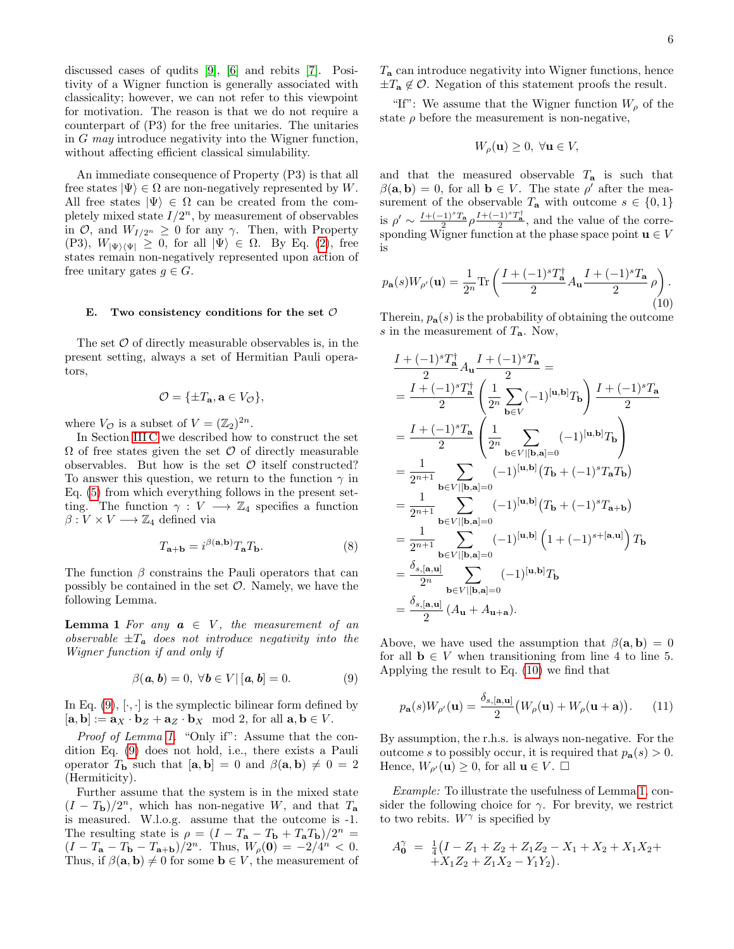discussed cases of qudits [\[9\]](#page-20-5), [\[6\]](#page-20-2) and rebits [\[7\]](#page-20-3). Positivity of a Wigner function is generally associated with classicality; however, we can not refer to this viewpoint for motivation. The reason is that we do not require a counterpart of (P3) for the free unitaries. The unitaries in G may introduce negativity into the Wigner function, without affecting efficient classical simulability.

An immediate consequence of Property (P3) is that all free states  $|\Psi\rangle \in \Omega$  are non-negatively represented by W. All free states  $|\Psi\rangle \in \Omega$  can be created from the completely mixed state  $I/2^n$ , by measurement of observables in  $\mathcal{O}$ , and  $W_{I/2^n} \geq 0$  for any  $\gamma$ . Then, with Property (P3),  $W_{|\Psi\rangle\langle\Psi|} \geq 0$ , for all  $|\Psi\rangle \in \Omega$ . By Eq. [\(2\)](#page-3-3), free states remain non-negatively represented upon action of free unitary gates  $g \in G$ .

#### <span id="page-5-0"></span>E. Two consistency conditions for the set  $\mathcal O$

The set  $\mathcal O$  of directly measurable observables is, in the present setting, always a set of Hermitian Pauli operators,

$$
\mathcal{O} = \{\pm T_{\mathbf{a}}, \mathbf{a} \in V_{\mathcal{O}}\},\
$$

where  $V_{\mathcal{O}}$  is a subset of  $V = (\mathbb{Z}_2)^{2n}$ .

In Section [III C](#page-3-0) we described how to construct the set  $\Omega$  of free states given the set  $\mathcal O$  of directly measurable observables. But how is the set  $\mathcal O$  itself constructed? To answer this question, we return to the function  $\gamma$  in Eq. [\(5\)](#page-4-2) from which everything follows in the present setting. The function  $\gamma: V \longrightarrow \mathbb{Z}_4$  specifies a function  $\beta: V \times V \longrightarrow \mathbb{Z}_4$  defined via

<span id="page-5-4"></span><span id="page-5-2"></span>
$$
T_{\mathbf{a}+\mathbf{b}} = i^{\beta(\mathbf{a},\mathbf{b})} T_{\mathbf{a}} T_{\mathbf{b}}.
$$
 (8)

The function  $\beta$  constrains the Pauli operators that can possibly be contained in the set  $\mathcal{O}$ . Namely, we have the following Lemma.

**Lemma 1** For any  $a \in V$ , the measurement of an observable  $\pm T_a$  does not introduce negativity into the Wigner function if and only if

<span id="page-5-1"></span>
$$
\beta(\mathbf{a}, \mathbf{b}) = 0, \ \forall \mathbf{b} \in V | [\mathbf{a}, \mathbf{b}] = 0. \tag{9}
$$

In Eq.  $(9)$ ,  $[\cdot, \cdot]$  is the symplectic bilinear form defined by  $[\mathbf{a}, \mathbf{b}] := \mathbf{a}_X \cdot \mathbf{b}_Z + \mathbf{a}_Z \cdot \mathbf{b}_X \mod 2$ , for all  $\mathbf{a}, \mathbf{b} \in V$ .

Proof of Lemma [1.](#page-5-2) "Only if": Assume that the condition Eq. [\(9\)](#page-5-1) does not hold, i.e., there exists a Pauli operator  $T_{\mathbf{b}}$  such that  $[\mathbf{a}, \mathbf{b}] = 0$  and  $\beta(\mathbf{a}, \mathbf{b}) \neq 0 = 2$ (Hermiticity).

Further assume that the system is in the mixed state  $(I - T_{\rm b})/2^n$ , which has non-negative W, and that  $T_{\rm a}$ is measured. W.l.o.g. assume that the outcome is -1. The resulting state is  $\rho = (I - T_{\mathbf{a}} - T_{\mathbf{b}} + T_{\mathbf{a}}T_{\mathbf{b}})/2^{n} =$  $(I - T_{\mathbf{a}} - T_{\mathbf{b}} - T_{\mathbf{a} + \mathbf{b}})/2^n$ . Thus,  $W_{\rho}(\mathbf{0}) = -2/4^n < 0$ . Thus, if  $\beta(\mathbf{a}, \mathbf{b}) \neq 0$  for some  $\mathbf{b} \in V$ , the measurement of

 $T_a$  can introduce negativity into Wigner functions, hence  $\pm T_a \notin \mathcal{O}$ . Negation of this statement proofs the result.

"If": We assume that the Wigner function  $W_{\rho}$  of the state  $\rho$  before the measurement is non-negative,

$$
W_{\rho}(\mathbf{u}) \ge 0, \ \forall \mathbf{u} \in V,
$$

and that the measured observable  $T_a$  is such that  $\beta(\mathbf{a}, \mathbf{b}) = 0$ , for all  $\mathbf{b} \in V$ . The state  $\rho'$  after the measurement of the observable  $T_a$  with outcome  $s \in \{0,1\}$ is  $\rho' \sim \frac{I + (-1)^s T_a}{2} \rho \frac{I + (-1)^s T_a^{\dagger}}{2}$ , and the value of the corresponding Wigner function at the phase space point  $\mathbf{u} \in V$ is

<span id="page-5-3"></span>
$$
p_{\mathbf{a}}(s)W_{\rho'}(\mathbf{u}) = \frac{1}{2^n} \text{Tr}\left(\frac{I + (-1)^s T_{\mathbf{a}}^\dagger}{2} A_{\mathbf{u}} \frac{I + (-1)^s T_{\mathbf{a}}}{2} \rho\right). \tag{10}
$$

Therein,  $p_{\mathbf{a}}(s)$  is the probability of obtaining the outcome s in the measurement of  $T_a$ . Now,

$$
\frac{I + (-1)^{s}T_{\mathbf{a}}^{\dagger}}{2} A_{\mathbf{u}} \frac{I + (-1)^{s}T_{\mathbf{a}}}{2} =
$$
\n
$$
= \frac{I + (-1)^{s}T_{\mathbf{a}}^{\dagger}}{2} \left( \frac{1}{2^{n}} \sum_{\mathbf{b} \in V} (-1)^{[\mathbf{u}, \mathbf{b}]} T_{\mathbf{b}} \right) \frac{I + (-1)^{s}T_{\mathbf{a}}}{2}
$$
\n
$$
= \frac{I + (-1)^{s}T_{\mathbf{a}}}{2} \left( \frac{1}{2^{n}} \sum_{\mathbf{b} \in V | [\mathbf{b}, \mathbf{a}] = 0} (-1)^{[\mathbf{u}, \mathbf{b}]} T_{\mathbf{b}} \right)
$$
\n
$$
= \frac{1}{2^{n+1}} \sum_{\mathbf{b} \in V | [\mathbf{b}, \mathbf{a}] = 0} (-1)^{[\mathbf{u}, \mathbf{b}]} (T_{\mathbf{b}} + (-1)^{s}T_{\mathbf{a}} T_{\mathbf{b}})
$$
\n
$$
= \frac{1}{2^{n+1}} \sum_{\mathbf{b} \in V | [\mathbf{b}, \mathbf{a}] = 0} (-1)^{[\mathbf{u}, \mathbf{b}]} (T_{\mathbf{b}} + (-1)^{s}T_{\mathbf{a} + \mathbf{b}})
$$
\n
$$
= \frac{1}{2^{n+1}} \sum_{\mathbf{b} \in V | [\mathbf{b}, \mathbf{a}] = 0} (-1)^{[\mathbf{u}, \mathbf{b}]} (1 + (-1)^{s + [\mathbf{a}, \mathbf{u}]}) T_{\mathbf{b}}
$$
\n
$$
= \frac{\delta_{s, [\mathbf{a}, \mathbf{u}]}}{2^{n}} \sum_{\mathbf{b} \in V | [\mathbf{b}, \mathbf{a}] = 0} (-1)^{[\mathbf{u}, \mathbf{b}]} T_{\mathbf{b}}
$$
\n
$$
= \frac{\delta_{s, [\mathbf{a}, \mathbf{u}]} (A_{\mathbf{u}} + A_{\mathbf{u} + \mathbf{a}}).
$$

Above, we have used the assumption that  $\beta(\mathbf{a}, \mathbf{b}) = 0$ for all  $\mathbf{b} \in V$  when transitioning from line 4 to line 5. Applying the result to Eq. [\(10\)](#page-5-3) we find that

<span id="page-5-5"></span>
$$
p_{\mathbf{a}}(s)W_{\rho'}(\mathbf{u}) = \frac{\delta_{s,[\mathbf{a},\mathbf{u}]}}{2} \big(W_{\rho}(\mathbf{u}) + W_{\rho}(\mathbf{u} + \mathbf{a})\big). \tag{11}
$$

By assumption, the r.h.s. is always non-negative. For the outcome s to possibly occur, it is required that  $p_a(s) > 0$ . Hence,  $W_{\rho}(\mathbf{u}) \geq 0$ , for all  $\mathbf{u} \in V$ .  $\Box$ 

Example: To illustrate the usefulness of Lemma [1,](#page-5-2) consider the following choice for  $\gamma$ . For brevity, we restrict to two rebits.  $W^{\gamma}$  is specified by

$$
A_0^{\gamma} = \frac{1}{4}(I - Z_1 + Z_2 + Z_1Z_2 - X_1 + X_2 + X_1X_2 + X_1Z_2 + Z_1X_2 - Y_1Y_2).
$$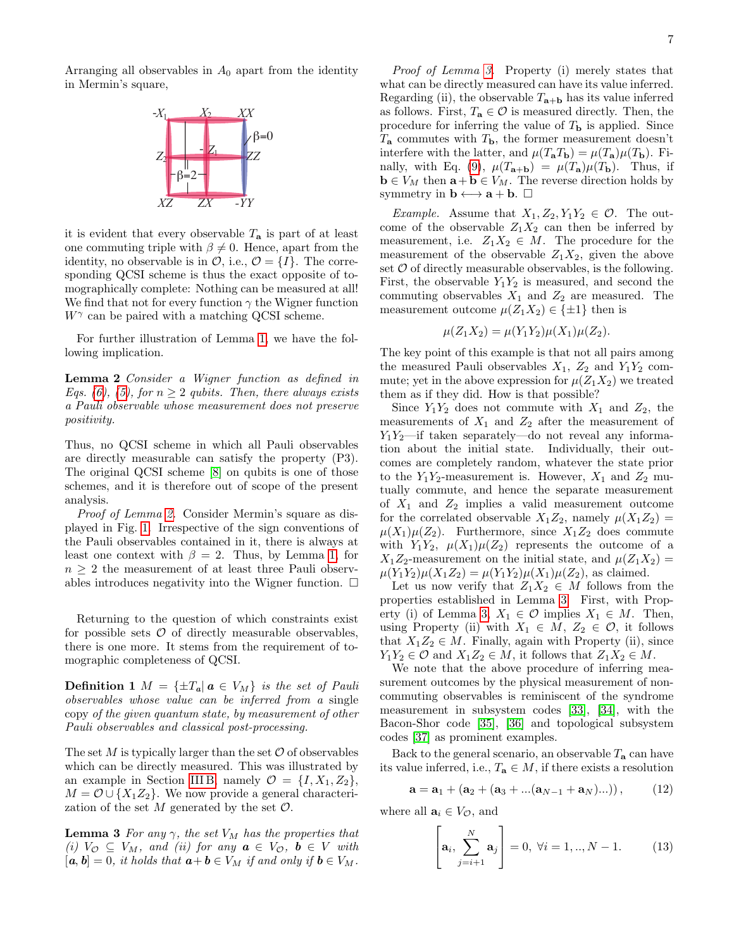

it is evident that every observable  $T_a$  is part of at least one commuting triple with  $\beta \neq 0$ . Hence, apart from the identity, no observable is in  $\mathcal{O}$ , i.e.,  $\mathcal{O} = \{I\}$ . The corresponding QCSI scheme is thus the exact opposite of tomographically complete: Nothing can be measured at all! We find that not for every function  $\gamma$  the Wigner function  $W^{\gamma}$  can be paired with a matching QCSI scheme.

<span id="page-6-0"></span>For further illustration of Lemma [1,](#page-5-2) we have the following implication.

Lemma 2 Consider a Wigner function as defined in Eqs. [\(6\)](#page-4-3), [\(5\)](#page-4-2), for  $n \geq 2$  qubits. Then, there always exists a Pauli observable whose measurement does not preserve positivity.

Thus, no QCSI scheme in which all Pauli observables are directly measurable can satisfy the property (P3). The original QCSI scheme [\[8\]](#page-20-4) on qubits is one of those schemes, and it is therefore out of scope of the present analysis.

Proof of Lemma [2.](#page-6-0) Consider Mermin's square as displayed in Fig. [1.](#page-3-1) Irrespective of the sign conventions of the Pauli observables contained in it, there is always at least one context with  $\beta = 2$ . Thus, by Lemma [1,](#page-5-2) for  $n > 2$  the measurement of at least three Pauli observables introduces negativity into the Wigner function.  $\Box$ 

Returning to the question of which constraints exist for possible sets  $\mathcal O$  of directly measurable observables, there is one more. It stems from the requirement of tomographic completeness of QCSI.

**Definition 1**  $M = \{\pm T_a | a \in V_M\}$  is the set of Pauli observables whose value can be inferred from a single copy of the given quantum state, by measurement of other Pauli observables and classical post-processing.

The set  $M$  is typically larger than the set  $\mathcal O$  of observables which can be directly measured. This was illustrated by an example in Section [III B,](#page-2-2) namely  $\mathcal{O} = \{I, X_1, Z_2\},\$  $M = \mathcal{O} \cup \{X_1 Z_2\}$ . We now provide a general characterization of the set  $M$  generated by the set  $\mathcal{O}$ .

**Lemma 3** For any  $\gamma$ , the set  $V_M$  has the properties that (i)  $V_{\mathcal{O}} \subseteq V_M$ , and (ii) for any  $\mathbf{a} \in V_{\mathcal{O}}$ ,  $\mathbf{b} \in V$  with  $[a, b] = 0$ , it holds that  $a + b \in V_M$  if and only if  $b \in V_M$ .

Proof of Lemma [3.](#page-6-1) Property (i) merely states that what can be directly measured can have its value inferred. Regarding (ii), the observable  $T_{\mathbf{a}+\mathbf{b}}$  has its value inferred as follows. First,  $T_a \in \mathcal{O}$  is measured directly. Then, the procedure for inferring the value of  $T_{\mathbf{b}}$  is applied. Since  $T_a$  commutes with  $T_b$ , the former measurement doesn't interfere with the latter, and  $\mu(T_aT_b) = \mu(T_a)\mu(T_b)$ . Fi-nally, with Eq. [\(9\)](#page-5-1),  $\mu(T_{\mathbf{a}+\mathbf{b}}) = \mu(T_{\mathbf{a}})\mu(T_{\mathbf{b}})$ . Thus, if  $\mathbf{b} \in V_M$  then  $\mathbf{a} + \mathbf{b} \in V_M$ . The reverse direction holds by symmetry in  $\mathbf{b} \longleftrightarrow \mathbf{a} + \mathbf{b}$ .  $\Box$ 

*Example.* Assume that  $X_1, Z_2, Y_1Y_2 \in \mathcal{O}$ . The outcome of the observable  $Z_1X_2$  can then be inferred by measurement, i.e.  $Z_1X_2 \in M$ . The procedure for the measurement of the observable  $Z_1X_2$ , given the above set  $\mathcal O$  of directly measurable observables, is the following. First, the observable  $Y_1Y_2$  is measured, and second the commuting observables  $X_1$  and  $Z_2$  are measured. The measurement outcome  $\mu(Z_1X_2) \in \{\pm 1\}$  then is

$$
\mu(Z_1 X_2) = \mu(Y_1 Y_2)\mu(X_1)\mu(Z_2).
$$

The key point of this example is that not all pairs among the measured Pauli observables  $X_1$ ,  $Z_2$  and  $Y_1Y_2$  commute; yet in the above expression for  $\mu(Z_1X_2)$  we treated them as if they did. How is that possible?

Since  $Y_1Y_2$  does not commute with  $X_1$  and  $Z_2$ , the measurements of  $X_1$  and  $Z_2$  after the measurement of  $Y_1Y_2$ —if taken separately—do not reveal any information about the initial state. Individually, their outcomes are completely random, whatever the state prior to the  $Y_1Y_2$ -measurement is. However,  $X_1$  and  $Z_2$  mutually commute, and hence the separate measurement of  $X_1$  and  $Z_2$  implies a valid measurement outcome for the correlated observable  $X_1Z_2$ , namely  $\mu(X_1Z_2)$  =  $\mu(X_1)\mu(Z_2)$ . Furthermore, since  $X_1Z_2$  does commute with  $Y_1Y_2$ ,  $\mu(X_1)\mu(Z_2)$  represents the outcome of a  $X_1Z_2$ -measurement on the initial state, and  $\mu(Z_1X_2)$  =  $\mu(Y_1Y_2)\mu(X_1Z_2) = \mu(Y_1Y_2)\mu(X_1)\mu(Z_2)$ , as claimed.

Let us now verify that  $Z_1X_2 \in M$  follows from the properties established in Lemma [3.](#page-6-1) First, with Prop-erty (i) of Lemma [3,](#page-6-1)  $X_1 \in \mathcal{O}$  implies  $X_1 \in M$ . Then, using Property (ii) with  $X_1 \in M$ ,  $Z_2 \in \mathcal{O}$ , it follows that  $X_1Z_2 \in M$ . Finally, again with Property (ii), since  $Y_1Y_2 \in \mathcal{O}$  and  $X_1Z_2 \in M$ , it follows that  $Z_1X_2 \in M$ .

We note that the above procedure of inferring measurement outcomes by the physical measurement of noncommuting observables is reminiscent of the syndrome measurement in subsystem codes [\[33\]](#page-20-25), [\[34\]](#page-20-26), with the Bacon-Shor code [\[35\]](#page-20-27), [\[36\]](#page-20-28) and topological subsystem codes [\[37\]](#page-20-29) as prominent examples.

Back to the general scenario, an observable  $T_a$  can have its value inferred, i.e.,  $T_a \in M$ , if there exists a resolution

<span id="page-6-2"></span>
$$
\mathbf{a} = \mathbf{a}_1 + (\mathbf{a}_2 + (\mathbf{a}_3 + ...(\mathbf{a}_{N-1} + \mathbf{a}_N) ...)), \qquad (12)
$$

<span id="page-6-1"></span>where all  $\mathbf{a}_i \in V_{\mathcal{O}}$ , and

$$
\left[\mathbf{a}_{i}, \sum_{j=i+1}^{N} \mathbf{a}_{j}\right] = 0, \ \forall i = 1,.., N-1.
$$
 (13)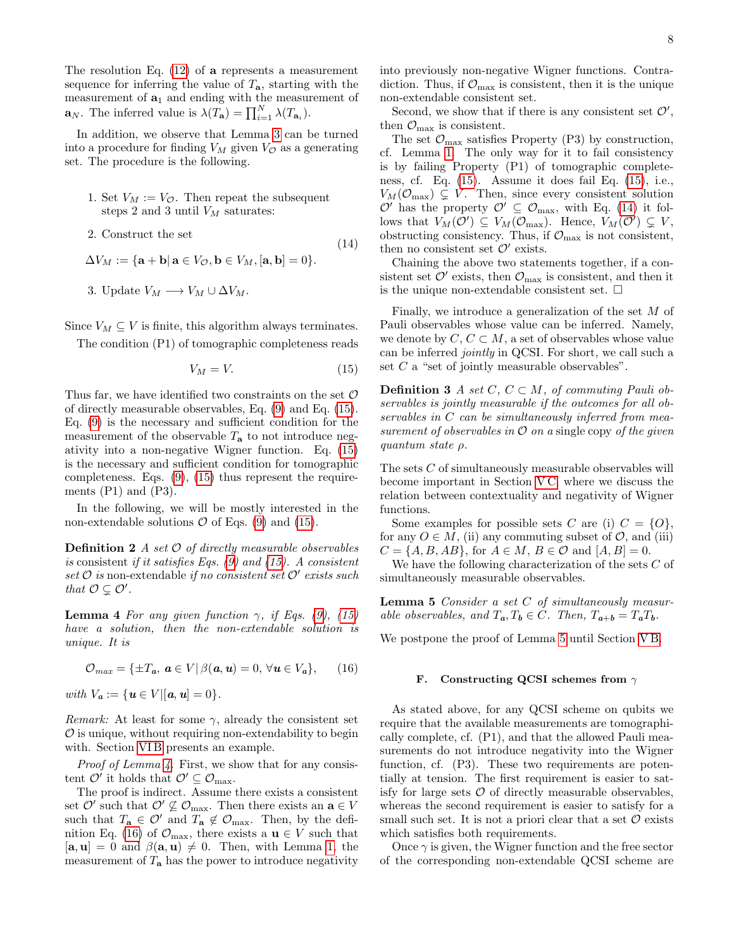The resolution Eq. [\(12\)](#page-6-2) of a represents a measurement sequence for inferring the value of  $T_a$ , starting with the measurement of  $a_1$  and ending with the measurement of  $\mathbf{a}_N$ . The inferred value is  $\lambda(T_{\mathbf{a}}) = \prod_{i=1}^N \lambda(T_{\mathbf{a}_i}).$ 

In addition, we observe that Lemma [3](#page-6-1) can be turned into a procedure for finding  $V_M$  given  $V_Q$  as a generating set. The procedure is the following.

- 1. Set  $V_M := V_{\mathcal{O}}$ . Then repeat the subsequent steps 2 and 3 until  $V_M$  saturates:
- 2. Construct the set

 $\Delta V_M := \{ \mathbf{a} + \mathbf{b} \vert \, \mathbf{a} \in V_{\mathcal{O}}, \mathbf{b} \in V_M, [\mathbf{a}, \mathbf{b}] = 0 \}.$ 

<span id="page-7-4"></span>3. Update  $V_M \longrightarrow V_M \cup \Delta V_M$ .

Since  $V_M \subseteq V$  is finite, this algorithm always terminates.

The condition (P1) of tomographic completeness reads

<span id="page-7-1"></span>
$$
V_M = V.\t\t(15)
$$

(14)

Thus far, we have identified two constraints on the set  $\mathcal O$ of directly measurable observables, Eq. [\(9\)](#page-5-1) and Eq. [\(15\)](#page-7-1). Eq. [\(9\)](#page-5-1) is the necessary and sufficient condition for the measurement of the observable  $T_a$  to not introduce negativity into a non-negative Wigner function. Eq. [\(15\)](#page-7-1) is the necessary and sufficient condition for tomographic completeness. Eqs. [\(9\)](#page-5-1), [\(15\)](#page-7-1) thus represent the requirements  $(P1)$  and  $(P3)$ .

In the following, we will be mostly interested in the non-extendable solutions  $\mathcal O$  of Eqs. [\(9\)](#page-5-1) and [\(15\)](#page-7-1).

**Definition 2** A set  $\mathcal O$  of directly measurable observables is consistent if it satisfies Eqs.  $(9)$  and  $(15)$ . A consistent  $set \mathcal{O}$  is non-extendable if no consistent set  $\mathcal{O}'$  exists such that  $\mathcal{O} \subsetneq \mathcal{O}'$ .

<span id="page-7-2"></span>**Lemma 4** For any given function  $\gamma$ , if Eqs. [\(9\)](#page-5-1), [\(15\)](#page-7-1) have a solution, then the non-extendable solution is unique. It is

<span id="page-7-3"></span>
$$
\mathcal{O}_{max} = \{ \pm T_a, \ a \in V \, | \, \beta(a, u) = 0, \ \forall u \in V_a \}, \qquad (16)
$$

with  $V_a := \{ \mathbf{u} \in V | [\mathbf{a}, \mathbf{u}] = 0 \}.$ 

*Remark:* At least for some  $\gamma$ , already the consistent set  $\mathcal O$  is unique, without requiring non-extendability to begin with. Section VIB presents an example.

Proof of Lemma [4.](#page-7-2) First, we show that for any consistent  $\mathcal{O}'$  it holds that  $\mathcal{O}' \subseteq \mathcal{O}_{\max}$ .

The proof is indirect. Assume there exists a consistent set  $\mathcal{O}'$  such that  $\mathcal{O}' \not\subseteq \mathcal{O}_{\text{max}}$ . Then there exists an  $\mathbf{a} \in V$ such that  $T_a \in \mathcal{O}'$  and  $T_a \notin \mathcal{O}_{\text{max}}$ . Then, by the defi-nition Eq. [\(16\)](#page-7-3) of  $\mathcal{O}_{\text{max}}$ , there exists a  $\mathbf{u} \in V$  such that  $[\mathbf{a}, \mathbf{u}] = 0$  and  $\beta(\mathbf{a}, \mathbf{u}) \neq 0$ . Then, with Lemma [1,](#page-5-2) the measurement of  $T_a$  has the power to introduce negativity into previously non-negative Wigner functions. Contradiction. Thus, if  $\mathcal{O}_{\text{max}}$  is consistent, then it is the unique non-extendable consistent set.

Second, we show that if there is any consistent set  $\mathcal{O}'$ , then  $\mathcal{O}_{\text{max}}$  is consistent.

The set  $\mathcal{O}_{\text{max}}$  satisfies Property (P3) by construction, cf. Lemma [1.](#page-5-2) The only way for it to fail consistency is by failing Property (P1) of tomographic completeness, cf. Eq. [\(15\)](#page-7-1). Assume it does fail Eq. [\(15\)](#page-7-1), i.e.,  $V_M(\mathcal{O}_{\text{max}}) \subsetneq V$ . Then, since every consistent solution  $\mathcal{O}'$  has the property  $\mathcal{O}' \subseteq \mathcal{O}_{\text{max}}$ , with Eq. [\(14\)](#page-7-4) it follows that  $V_M(\mathcal{O}') \subseteq V_M(\mathcal{O}_{\text{max}})$ . Hence,  $V_M(\mathcal{O}') \subsetneq V$ , obstructing consistency. Thus, if  $\mathcal{O}_{\text{max}}$  is not consistent, then no consistent set  $\mathcal{O}'$  exists.

Chaining the above two statements together, if a consistent set  $\mathcal{O}'$  exists, then  $\mathcal{O}_{\text{max}}$  is consistent, and then it is the unique non-extendable consistent set.  $\square$ 

Finally, we introduce a generalization of the set M of Pauli observables whose value can be inferred. Namely, we denote by  $C, C \subset M$ , a set of observables whose value can be inferred jointly in QCSI. For short, we call such a set  $C$  a "set of jointly measurable observables".

<span id="page-7-6"></span>**Definition 3** A set  $C, C \subset M$ , of commuting Pauli observables is jointly measurable if the outcomes for all observables in C can be simultaneously inferred from measurement of observables in  $\mathcal O$  on a single copy of the given quantum state ρ.

The sets C of simultaneously measurable observables will become important in Section [V C,](#page-12-0) where we discuss the relation between contextuality and negativity of Wigner functions.

Some examples for possible sets C are (i)  $C = \{O\}$ , for any  $O \in M$ , (ii) any commuting subset of  $O$ , and (iii)  $C = \{A, B, AB\}$ , for  $A \in M$ ,  $B \in \mathcal{O}$  and  $[A, B] = 0$ .

We have the following characterization of the sets C of simultaneously measurable observables.

Lemma 5 Consider a set C of simultaneously measurable observables, and  $T_a, T_b \in C$ . Then,  $T_{a+b} = T_a T_b$ .

We postpone the proof of Lemma [5](#page-7-5) until Section [V B.](#page-11-1)

## <span id="page-7-5"></span><span id="page-7-0"></span>F. Constructing QCSI schemes from  $\gamma$

As stated above, for any QCSI scheme on qubits we require that the available measurements are tomographically complete, cf. (P1), and that the allowed Pauli measurements do not introduce negativity into the Wigner function, cf. (P3). These two requirements are potentially at tension. The first requirement is easier to satisfy for large sets  $\mathcal O$  of directly measurable observables, whereas the second requirement is easier to satisfy for a small such set. It is not a priori clear that a set  $\mathcal O$  exists which satisfies both requirements.

Once  $\gamma$  is given, the Wigner function and the free sector of the corresponding non-extendable QCSI scheme are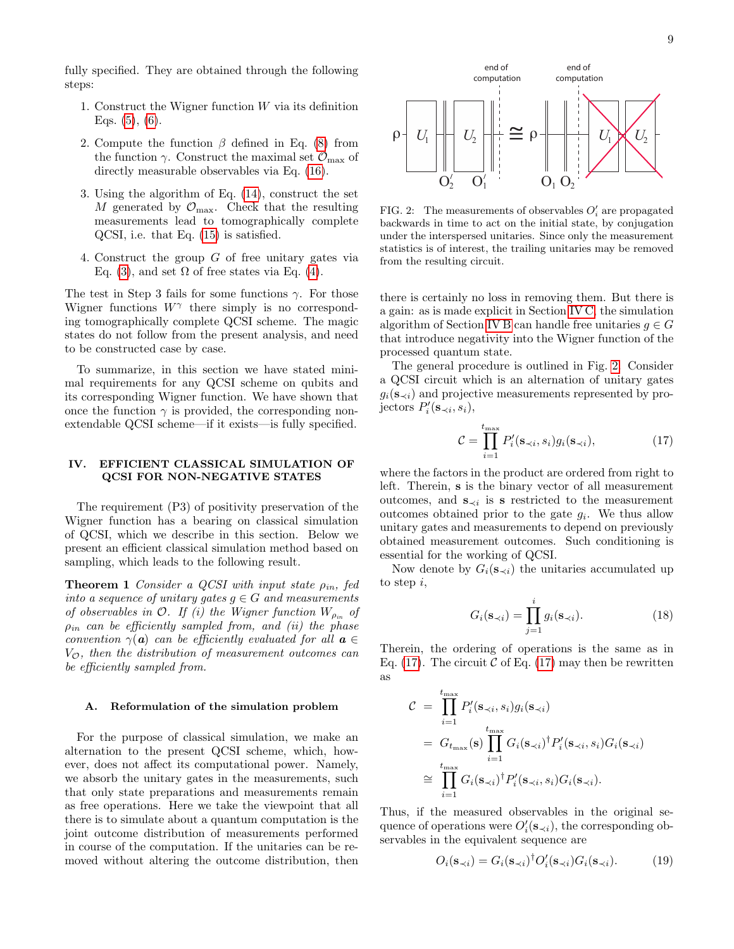fully specified. They are obtained through the following steps:

- 1. Construct the Wigner function  $W$  via its definition Eqs.  $(5)$ ,  $(6)$ .
- 2. Compute the function  $\beta$  defined in Eq. [\(8\)](#page-5-4) from the function  $\gamma$ . Construct the maximal set  $\mathcal{O}_{\text{max}}$  of directly measurable observables via Eq. [\(16\)](#page-7-3).
- 3. Using the algorithm of Eq. [\(14\)](#page-7-4), construct the set M generated by  $\mathcal{O}_{\text{max}}$ . Check that the resulting measurements lead to tomographically complete QCSI, i.e. that Eq. [\(15\)](#page-7-1) is satisfied.
- 4. Construct the group  $G$  of free unitary gates via Eq. [\(3\)](#page-4-1), and set  $\Omega$  of free states via Eq. [\(4\)](#page-4-0).

The test in Step 3 fails for some functions  $\gamma$ . For those Wigner functions  $W^{\gamma}$  there simply is no corresponding tomographically complete QCSI scheme. The magic states do not follow from the present analysis, and need to be constructed case by case.

To summarize, in this section we have stated minimal requirements for any QCSI scheme on qubits and its corresponding Wigner function. We have shown that once the function  $\gamma$  is provided, the corresponding nonextendable QCSI scheme—if it exists—is fully specified.

## <span id="page-8-1"></span>IV. EFFICIENT CLASSICAL SIMULATION OF QCSI FOR NON-NEGATIVE STATES

The requirement (P3) of positivity preservation of the Wigner function has a bearing on classical simulation of QCSI, which we describe in this section. Below we present an efficient classical simulation method based on sampling, which leads to the following result.

**Theorem 1** Consider a QCSI with input state  $\rho_{in}$ , fed into a sequence of unitary gates  $g \in G$  and measurements of observables in  $\mathcal{O}$ . If (i) the Wigner function  $W_{\rho_{in}}$  of  $\rho_{in}$  can be efficiently sampled from, and (ii) the phase convention  $\gamma(\mathbf{a})$  can be efficiently evaluated for all  $\mathbf{a} \in$  $V_{\mathcal{O}}$ , then the distribution of measurement outcomes can be efficiently sampled from.

# <span id="page-8-5"></span>A. Reformulation of the simulation problem

For the purpose of classical simulation, we make an alternation to the present QCSI scheme, which, however, does not affect its computational power. Namely, we absorb the unitary gates in the measurements, such that only state preparations and measurements remain as free operations. Here we take the viewpoint that all there is to simulate about a quantum computation is the joint outcome distribution of measurements performed in course of the computation. If the unitaries can be removed without altering the outcome distribution, then



<span id="page-8-2"></span>FIG. 2: The measurements of observables  $O_i'$  are propagated backwards in time to act on the initial state, by conjugation under the interspersed unitaries. Since only the measurement statistics is of interest, the trailing unitaries may be removed from the resulting circuit.

there is certainly no loss in removing them. But there is a gain: as is made explicit in Section [IV C,](#page-10-0) the simulation algorithm of Section [IV B](#page-9-0) can handle free unitaries  $g \in G$ that introduce negativity into the Wigner function of the processed quantum state.

The general procedure is outlined in Fig. [2.](#page-8-2) Consider a QCSI circuit which is an alternation of unitary gates  $g_i(\mathbf{s}_{\prec i})$  and projective measurements represented by projectors  $P'_i(\mathbf{s}_{\prec i}, s_i)$ ,

<span id="page-8-3"></span>
$$
\mathcal{C} = \prod_{i=1}^{t_{\text{max}}} P'_i(\mathbf{s}_{\prec i}, s_i) g_i(\mathbf{s}_{\prec i}), \tag{17}
$$

where the factors in the product are ordered from right to left. Therein, s is the binary vector of all measurement outcomes, and  $\mathbf{s}_{\prec i}$  is s restricted to the measurement outcomes obtained prior to the gate  $g_i$ . We thus allow unitary gates and measurements to depend on previously obtained measurement outcomes. Such conditioning is essential for the working of QCSI.

<span id="page-8-0"></span>Now denote by  $G_i(s_{\prec i})$  the unitaries accumulated up to step i,

$$
G_i(\mathbf{s}_{\prec i}) = \prod_{j=1}^i g_i(\mathbf{s}_{\prec i}).
$$
\n(18)

Therein, the ordering of operations is the same as in Eq. [\(17\)](#page-8-3). The circuit  $\mathcal C$  of Eq. (17) may then be rewritten as

$$
C = \prod_{i=1}^{t_{\text{max}}} P'_i(\mathbf{s}_{\prec i}, s_i) g_i(\mathbf{s}_{\prec i})
$$
  
=  $G_{t_{\text{max}}}(\mathbf{s}) \prod_{i=1}^{t_{\text{max}}} G_i(\mathbf{s}_{\prec i})^{\dagger} P'_i(\mathbf{s}_{\prec i}, s_i) G_i(\mathbf{s}_{\prec i})$   

$$
\cong \prod_{i=1}^{t_{\text{max}}} G_i(\mathbf{s}_{\prec i})^{\dagger} P'_i(\mathbf{s}_{\prec i}, s_i) G_i(\mathbf{s}_{\prec i}).
$$

Thus, if the measured observables in the original sequence of operations were  $O_i'(\mathbf{s}_{\prec i})$ , the corresponding observables in the equivalent sequence are

<span id="page-8-4"></span>
$$
O_i(\mathbf{s}_{\prec i}) = G_i(\mathbf{s}_{\prec i})^\dagger O_i'(\mathbf{s}_{\prec i}) G_i(\mathbf{s}_{\prec i}). \tag{19}
$$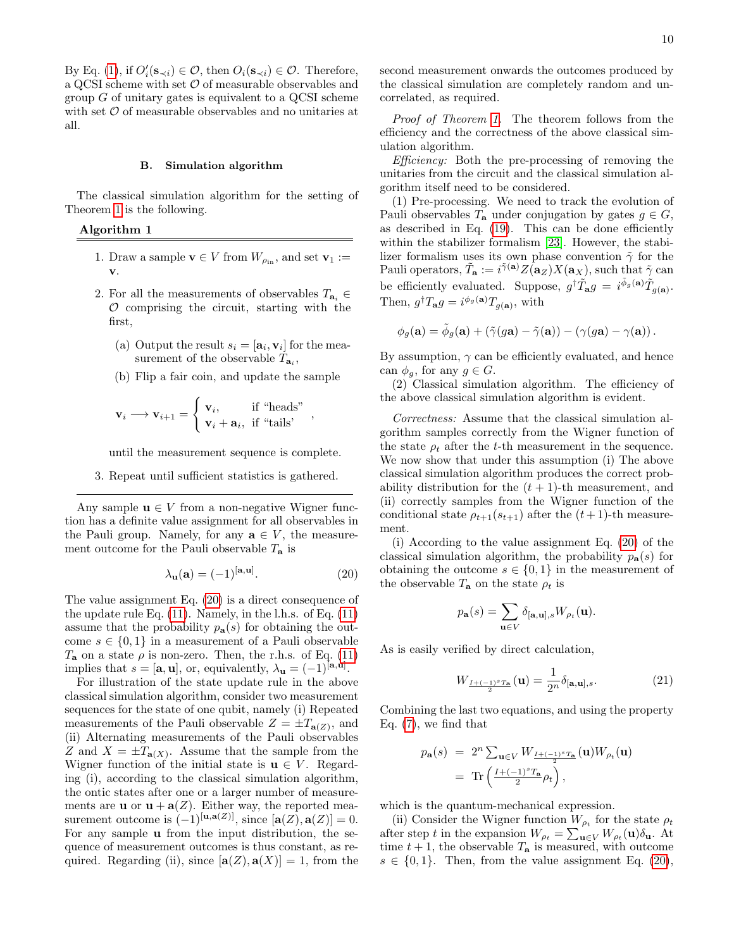By Eq. [\(1\)](#page-3-2), if  $O_i'(\mathbf{s}_{\prec i}) \in \mathcal{O}$ , then  $O_i(\mathbf{s}_{\prec i}) \in \mathcal{O}$ . Therefore, a QCSI scheme with set  $\mathcal O$  of measurable observables and group  $G$  of unitary gates is equivalent to a QCSI scheme with set  $\mathcal O$  of measurable observables and no unitaries at all.

## <span id="page-9-0"></span>B. Simulation algorithm

The classical simulation algorithm for the setting of Theorem [1](#page-8-0) is the following.

Algorithm 1

- 1. Draw a sample  $\mathbf{v} \in V$  from  $W_{\rho_{\text{in}}}$ , and set  $\mathbf{v}_1 :=$ v.
- 2. For all the measurements of observables  $T_{a_i} \in$  $\mathcal O$  comprising the circuit, starting with the first,
	- (a) Output the result  $s_i = [\mathbf{a}_i, \mathbf{v}_i]$  for the measurement of the observable  $T_{\mathbf{a}_i}$ ,
	- (b) Flip a fair coin, and update the sample

$$
\mathbf{v}_i \longrightarrow \mathbf{v}_{i+1} = \begin{cases} \mathbf{v}_i, & \text{if "heads"} \\ \mathbf{v}_i + \mathbf{a}_i, & \text{if "tails'} \end{cases},
$$

until the measurement sequence is complete.

3. Repeat until sufficient statistics is gathered.

Any sample  $\mathbf{u} \in V$  from a non-negative Wigner function has a definite value assignment for all observables in the Pauli group. Namely, for any  $a \in V$ , the measurement outcome for the Pauli observable  $T_a$  is

<span id="page-9-1"></span>
$$
\lambda_{\mathbf{u}}(\mathbf{a}) = (-1)^{[\mathbf{a}, \mathbf{u}]}.
$$
 (20)

The value assignment Eq. [\(20\)](#page-9-1) is a direct consequence of the update rule Eq. [\(11\)](#page-5-5). Namely, in the l.h.s. of Eq. [\(11\)](#page-5-5) assume that the probability  $p_{\mathbf{a}}(s)$  for obtaining the outcome  $s \in \{0,1\}$  in a measurement of a Pauli observable  $T_a$  on a state  $\rho$  is non-zero. Then, the r.h.s. of Eq. [\(11\)](#page-5-5) implies that  $s = [\mathbf{a}, \mathbf{u}]$ , or, equivalently,  $\lambda_{\mathbf{u}} = (-1)^{[\mathbf{a}, \mathbf{u}]}$ .

For illustration of the state update rule in the above classical simulation algorithm, consider two measurement sequences for the state of one qubit, namely (i) Repeated measurements of the Pauli observable  $Z = \pm T_{\mathbf{a}(Z)}$ , and (ii) Alternating measurements of the Pauli observables Z and  $X = \pm T_{\mathbf{a}(X)}$ . Assume that the sample from the Wigner function of the initial state is  $u \in V$ . Regarding (i), according to the classical simulation algorithm, the ontic states after one or a larger number of measurements are **u** or  $\mathbf{u} + \mathbf{a}(Z)$ . Either way, the reported measurement outcome is  $(-1)^{[u,\mathbf{a}(Z)]}$ , since  $[\mathbf{a}(Z), \mathbf{a}(Z)] = 0$ . For any sample u from the input distribution, the sequence of measurement outcomes is thus constant, as required. Regarding (ii), since  $[\mathbf{a}(Z), \mathbf{a}(X)] = 1$ , from the second measurement onwards the outcomes produced by the classical simulation are completely random and uncorrelated, as required.

Proof of Theorem [1.](#page-8-0) The theorem follows from the efficiency and the correctness of the above classical simulation algorithm.

Efficiency: Both the pre-processing of removing the unitaries from the circuit and the classical simulation algorithm itself need to be considered.

(1) Pre-processing. We need to track the evolution of Pauli observables  $T_a$  under conjugation by gates  $g \in G$ , as described in Eq. [\(19\)](#page-8-4). This can be done efficiently within the stabilizer formalism [\[23\]](#page-20-17). However, the stabilizer formalism uses its own phase convention  $\tilde{\gamma}$  for the Pauli operators,  $\tilde{T}_{\mathbf{a}} := i^{\tilde{\gamma}(\mathbf{a})} Z(\mathbf{a}_Z) X(\mathbf{a}_X)$ , such that  $\tilde{\gamma}$  can be efficiently evaluated. Suppose,  $g^{\dagger} \tilde{T}_{\mathbf{a}} g = i^{\tilde{\phi}_g(\mathbf{a})} \tilde{T}_{g(\mathbf{a})}$ . Then,  $g^{\dagger}T_{\mathbf{a}}g = i^{\phi_g(\mathbf{a})}T_{g(\mathbf{a})}$ , with

$$
\phi_g(\mathbf{a}) = \tilde{\phi}_g(\mathbf{a}) + \left(\tilde{\gamma}(g\mathbf{a}) - \tilde{\gamma}(\mathbf{a})\right) - \left(\gamma(g\mathbf{a}) - \gamma(\mathbf{a})\right).
$$

By assumption,  $\gamma$  can be efficiently evaluated, and hence can  $\phi_q$ , for any  $q \in G$ .

(2) Classical simulation algorithm. The efficiency of the above classical simulation algorithm is evident.

Correctness: Assume that the classical simulation algorithm samples correctly from the Wigner function of the state  $\rho_t$  after the t-th measurement in the sequence. We now show that under this assumption (i) The above classical simulation algorithm produces the correct probability distribution for the  $(t + 1)$ -th measurement, and (ii) correctly samples from the Wigner function of the conditional state  $\rho_{t+1}(s_{t+1})$  after the  $(t+1)$ -th measurement.

(i) According to the value assignment Eq. [\(20\)](#page-9-1) of the classical simulation algorithm, the probability  $p_a(s)$  for obtaining the outcome  $s \in \{0,1\}$  in the measurement of the observable  $T_{\mathbf{a}}$  on the state  $\rho_t$  is

$$
p_{\mathbf{a}}(s) = \sum_{\mathbf{u} \in V} \delta_{[\mathbf{a}, \mathbf{u}], s} W_{\rho_t}(\mathbf{u}).
$$

As is easily verified by direct calculation,

$$
W_{\frac{I+(-1)^s T_a}{2}}(\mathbf{u}) = \frac{1}{2^n} \delta_{[\mathbf{a}, \mathbf{u}], s}.
$$
 (21)

Combining the last two equations, and using the property Eq. [\(7\)](#page-4-4), we find that

$$
p_{\mathbf{a}}(s) = 2^{n} \sum_{\mathbf{u} \in V} W_{\frac{I + (-1)^{s} T_{\mathbf{a}}}{2}}(\mathbf{u}) W_{\rho_{t}}(\mathbf{u})
$$
  
= Tr  $\left(\frac{I + (-1)^{s} T_{\mathbf{a}}}{2} \rho_{t}\right)$ ,

which is the quantum-mechanical expression.

(ii) Consider the Wigner function  $W_{\rho_t}$  for the state  $\rho_t$ after step t in the expansion  $W_{\rho_t} = \sum_{\mathbf{u} \in V} W_{\rho_t}(\mathbf{u}) \delta_{\mathbf{u}}$ . At time  $t + 1$ , the observable  $T_a$  is measured, with outcome  $s \in \{0,1\}$ . Then, from the value assignment Eq. [\(20\)](#page-9-1),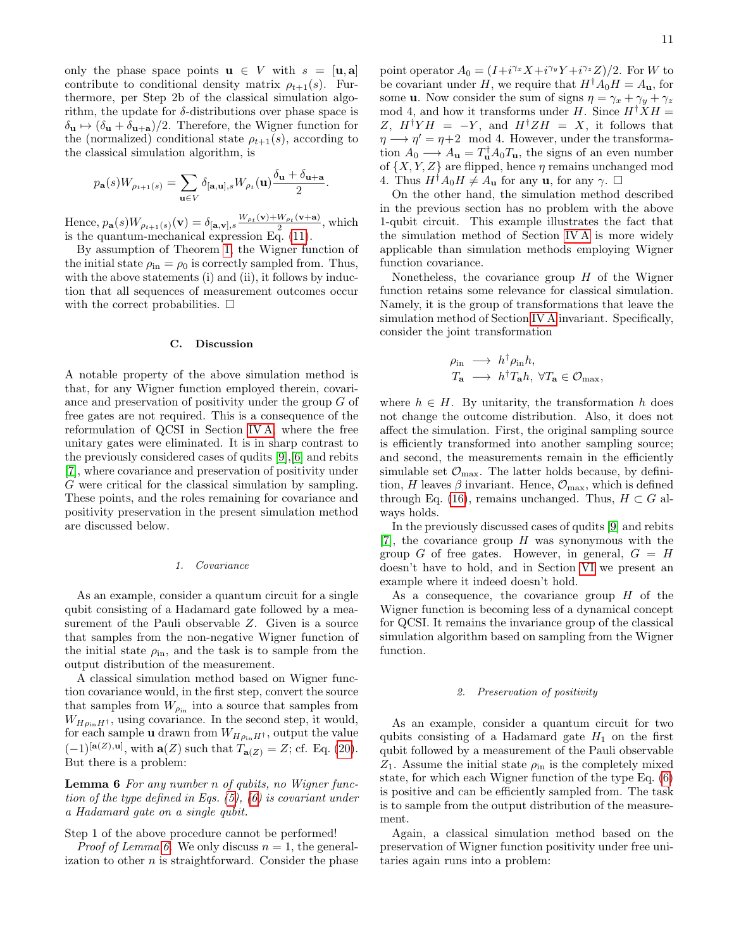only the phase space points  $\mathbf{u} \in V$  with  $s = [\mathbf{u}, \mathbf{a}]$ contribute to conditional density matrix  $\rho_{t+1}(s)$ . Furthermore, per Step 2b of the classical simulation algorithm, the update for  $\delta$ -distributions over phase space is  $\delta_{\mathbf{u}} \mapsto (\delta_{\mathbf{u}} + \delta_{\mathbf{u}+\mathbf{a}})/2$ . Therefore, the Wigner function for the (normalized) conditional state  $\rho_{t+1}(s)$ , according to the classical simulation algorithm, is

$$
p_{\mathbf{a}}(s)W_{\rho_{t+1}(s)} = \sum_{\mathbf{u}\in V} \delta_{[\mathbf{a},\mathbf{u}],s} W_{\rho_t}(\mathbf{u}) \frac{\delta_{\mathbf{u}} + \delta_{\mathbf{u}+\mathbf{a}}}{2}.
$$

Hence,  $p_{\mathbf{a}}(s)W_{\rho_{t+1}(s)}(\mathbf{v}) = \delta_{[\mathbf{a},\mathbf{v}],s}\frac{W_{\rho_t}(\mathbf{v})+W_{\rho_t}(\mathbf{v}+\mathbf{a})}{2}$  $\frac{W_{\rho_t}(\mathbf{v}+\mathbf{a})}{2}$ , which is the quantum-mechanical expression Eq. [\(11\)](#page-5-5).

By assumption of Theorem [1,](#page-8-0) the Wigner function of the initial state  $\rho_{\rm in} = \rho_0$  is correctly sampled from. Thus, with the above statements (i) and (ii), it follows by induction that all sequences of measurement outcomes occur with the correct probabilities.  $\Box$ 

#### <span id="page-10-0"></span>C. Discussion

A notable property of the above simulation method is that, for any Wigner function employed therein, covariance and preservation of positivity under the group G of free gates are not required. This is a consequence of the reformulation of QCSI in Section [IV A,](#page-8-5) where the free unitary gates were eliminated. It is in sharp contrast to the previously considered cases of qudits [\[9\]](#page-20-5),[\[6\]](#page-20-2) and rebits [\[7\]](#page-20-3), where covariance and preservation of positivity under G were critical for the classical simulation by sampling. These points, and the roles remaining for covariance and positivity preservation in the present simulation method are discussed below.

## 1. Covariance

As an example, consider a quantum circuit for a single qubit consisting of a Hadamard gate followed by a measurement of the Pauli observable Z. Given is a source that samples from the non-negative Wigner function of the initial state  $\rho_{\text{in}}$ , and the task is to sample from the output distribution of the measurement.

A classical simulation method based on Wigner function covariance would, in the first step, convert the source that samples from  $W_{\rho_{\text{in}}}$  into a source that samples from  $W_{H\rho_{\text{in}}H^{\dagger}}$ , using covariance. In the second step, it would, for each sample **u** drawn from  $W_{H\rho_{\text{in}}H^{\dagger}}$ , output the value  $(-1)^{[\mathbf{a}(Z),\mathbf{u}]}$ , with  $\mathbf{a}(Z)$  such that  $T_{\mathbf{a}(Z)} = Z$ ; cf. Eq. [\(20\)](#page-9-1). But there is a problem:

<span id="page-10-1"></span>Lemma 6 For any number n of qubits, no Wigner function of the type defined in Eqs. [\(5\)](#page-4-2), [\(6\)](#page-4-3) is covariant under a Hadamard gate on a single qubit.

#### Step 1 of the above procedure cannot be performed!

*Proof of Lemma [6.](#page-10-1)* We only discuss  $n = 1$ , the generalization to other  $n$  is straightforward. Consider the phase

point operator  $A_0 = (I + i^{\gamma_x} X + i^{\gamma_y} Y + i^{\gamma_z} Z)/2$ . For W to be covariant under H, we require that  $H^{\dagger}A_0H = A_{\mathbf{u}}$ , for some **u**. Now consider the sum of signs  $\eta = \gamma_x + \gamma_y + \gamma_z$ mod 4, and how it transforms under H. Since  $H^{\dagger} X H =$ Z,  $H^{\dagger}YH = -Y$ , and  $H^{\dagger}ZH = X$ , it follows that  $\eta \longrightarrow \eta' = \eta + 2 \mod 4$ . However, under the transformation  $A_0 \longrightarrow A_{\mathbf{u}} = T_{\mathbf{u}}^{\dagger} A_0 T_{\mathbf{u}}$ , the signs of an even number of  $\{X, Y, Z\}$  are flipped, hence  $\eta$  remains unchanged mod 4. Thus  $H^{\dagger}A_0H \neq A_{\mathbf{u}}$  for any  $\mathbf{u}$ , for any  $\gamma$ .  $\Box$ 

On the other hand, the simulation method described in the previous section has no problem with the above 1-qubit circuit. This example illustrates the fact that the simulation method of Section [IV A](#page-8-5) is more widely applicable than simulation methods employing Wigner function covariance.

Nonetheless, the covariance group  $H$  of the Wigner function retains some relevance for classical simulation. Namely, it is the group of transformations that leave the simulation method of Section [IV A](#page-8-5) invariant. Specifically, consider the joint transformation

$$
\begin{array}{rcl}\n\rho_{\rm in}&\longrightarrow& h^{\dagger}\rho_{\rm in}h,\\
T_{\mathbf{a}}&\longrightarrow& h^{\dagger}T_{\mathbf{a}}h,\ \forall T_{\mathbf{a}}\in\mathcal{O}_{\rm max},\n\end{array}
$$

where  $h \in H$ . By unitarity, the transformation h does not change the outcome distribution. Also, it does not affect the simulation. First, the original sampling source is efficiently transformed into another sampling source; and second, the measurements remain in the efficiently simulable set  $\mathcal{O}_{\text{max}}$ . The latter holds because, by definition, H leaves  $\beta$  invariant. Hence,  $\mathcal{O}_{\text{max}}$ , which is defined through Eq. [\(16\)](#page-7-3), remains unchanged. Thus,  $H \subset G$  always holds.

In the previously discussed cases of qudits [\[9\]](#page-20-5) and rebits [\[7\]](#page-20-3), the covariance group  $H$  was synonymous with the group G of free gates. However, in general,  $G = H$ doesn't have to hold, and in Section [VI](#page-17-0) we present an example where it indeed doesn't hold.

As a consequence, the covariance group  $H$  of the Wigner function is becoming less of a dynamical concept for QCSI. It remains the invariance group of the classical simulation algorithm based on sampling from the Wigner function.

#### 2. Preservation of positivity

As an example, consider a quantum circuit for two qubits consisting of a Hadamard gate  $H_1$  on the first qubit followed by a measurement of the Pauli observable  $Z_1$ . Assume the initial state  $\rho_{\text{in}}$  is the completely mixed state, for which each Wigner function of the type Eq. [\(6\)](#page-4-3) is positive and can be efficiently sampled from. The task is to sample from the output distribution of the measurement.

<span id="page-10-2"></span>Again, a classical simulation method based on the preservation of Wigner function positivity under free unitaries again runs into a problem: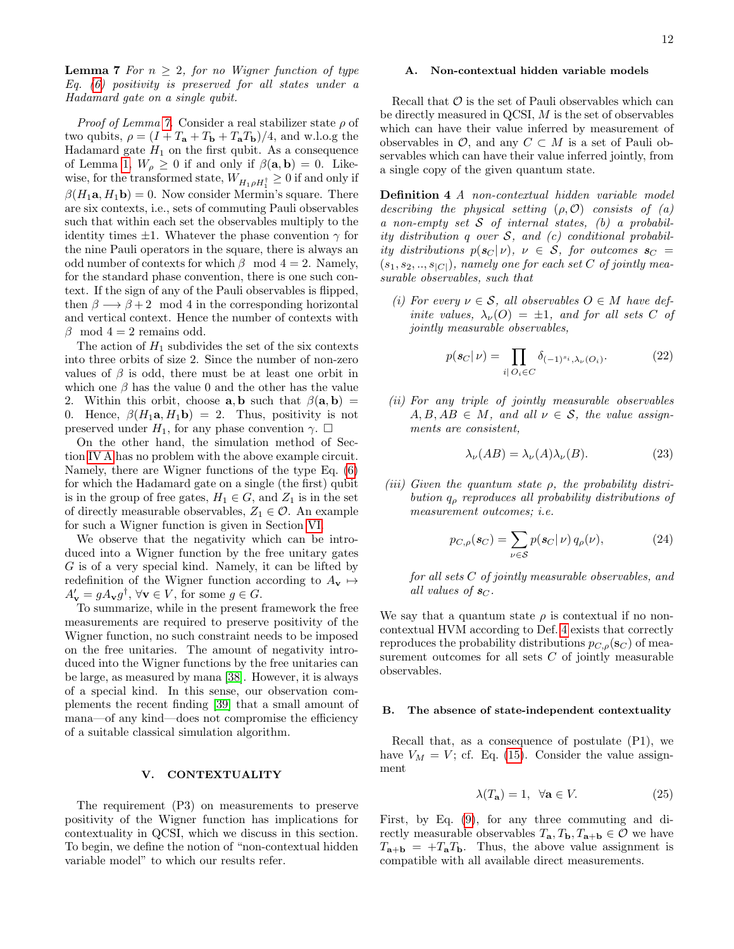**Lemma 7** For  $n \geq 2$ , for no Wigner function of type Eq. [\(6\)](#page-4-3) positivity is preserved for all states under a Hadamard gate on a single qubit.

*Proof of Lemma [7.](#page-10-2)* Consider a real stabilizer state  $\rho$  of two qubits,  $\rho = (I + T_a + T_b + T_aT_b)/4$ , and w.l.o.g the Hadamard gate  $H_1$  on the first qubit. As a consequence of Lemma [1,](#page-5-2)  $W_{\rho} \geq 0$  if and only if  $\beta(\mathbf{a}, \mathbf{b}) = 0$ . Likewise, for the transformed state,  $W_{H_1\rho H_1^\dagger}\geq 0$  if and only if  $\beta(H_1\mathbf{a}, H_1\mathbf{b}) = 0$ . Now consider Mermin's square. There are six contexts, i.e., sets of commuting Pauli observables such that within each set the observables multiply to the identity times  $\pm 1$ . Whatever the phase convention  $\gamma$  for the nine Pauli operators in the square, there is always an odd number of contexts for which  $\beta$  mod  $4 = 2$ . Namely, for the standard phase convention, there is one such context. If the sign of any of the Pauli observables is flipped, then  $\beta \longrightarrow \beta + 2 \mod 4$  in the corresponding horizontal and vertical context. Hence the number of contexts with  $\beta$  mod 4 = 2 remains odd.

The action of  $H_1$  subdivides the set of the six contexts into three orbits of size 2. Since the number of non-zero values of  $\beta$  is odd, there must be at least one orbit in which one  $\beta$  has the value 0 and the other has the value 2. Within this orbit, choose **a**, **b** such that  $\beta(\mathbf{a}, \mathbf{b}) =$ 0. Hence,  $\beta(H_1\mathbf{a}, H_1\mathbf{b}) = 2$ . Thus, positivity is not preserved under  $H_1$ , for any phase convention  $\gamma$ .  $\Box$ 

On the other hand, the simulation method of Section [IV A](#page-8-5) has no problem with the above example circuit. Namely, there are Wigner functions of the type Eq. [\(6\)](#page-4-3) for which the Hadamard gate on a single (the first) qubit is in the group of free gates,  $H_1 \in G$ , and  $Z_1$  is in the set of directly measurable observables,  $Z_1 \in \mathcal{O}$ . An example for such a Wigner function is given in Section [VI.](#page-17-0)

We observe that the negativity which can be introduced into a Wigner function by the free unitary gates G is of a very special kind. Namely, it can be lifted by redefinition of the Wigner function according to  $A_{\mathbf{v}} \mapsto$  $A'_{\mathbf{v}} = g A_{\mathbf{v}} g^{\dagger}, \forall \mathbf{v} \in V, \text{ for some } g \in G.$ 

To summarize, while in the present framework the free measurements are required to preserve positivity of the Wigner function, no such constraint needs to be imposed on the free unitaries. The amount of negativity introduced into the Wigner functions by the free unitaries can be large, as measured by mana [\[38\]](#page-20-30). However, it is always of a special kind. In this sense, our observation complements the recent finding [\[39\]](#page-20-31) that a small amount of mana—of any kind—does not compromise the efficiency of a suitable classical simulation algorithm.

## <span id="page-11-0"></span>V. CONTEXTUALITY

The requirement (P3) on measurements to preserve positivity of the Wigner function has implications for contextuality in QCSI, which we discuss in this section. To begin, we define the notion of "non-contextual hidden variable model" to which our results refer.

# A. Non-contextual hidden variable models

Recall that  $\mathcal O$  is the set of Pauli observables which can be directly measured in QCSI, M is the set of observables which can have their value inferred by measurement of observables in  $\mathcal{O}$ , and any  $C \subset M$  is a set of Pauli observables which can have their value inferred jointly, from a single copy of the given quantum state.

<span id="page-11-2"></span>Definition 4 A non-contextual hidden variable model describing the physical setting  $(\rho, O)$  consists of  $(a)$ a non-empty set  $S$  of internal states, (b) a probability distribution q over  $S$ , and  $(c)$  conditional probability distributions  $p(\mathbf{s}_C | \nu)$ ,  $\nu \in S$ , for outcomes  $\mathbf{s}_C =$  $(s_1, s_2, ..., s_{|C|})$ , namely one for each set C of jointly measurable observables, such that

(i) For every  $\nu \in S$ , all observables  $O \in M$  have definite values,  $\lambda_{\nu}(O) = \pm 1$ , and for all sets C of jointly measurable observables,

<span id="page-11-4"></span>
$$
p(\mathbf{s}_C|\nu) = \prod_{i|\,O_i \in C} \delta_{(-1)^{s_i},\lambda_\nu(O_i)}.\tag{22}
$$

(ii) For any triple of jointly measurable observables  $A, B, AB \in M$ , and all  $\nu \in S$ , the value assignments are consistent,

<span id="page-11-5"></span>
$$
\lambda_{\nu}(AB) = \lambda_{\nu}(A)\lambda_{\nu}(B). \tag{23}
$$

(iii) Given the quantum state  $\rho$ , the probability distribution  $q<sub>o</sub>$  reproduces all probability distributions of measurement outcomes; i.e.

$$
p_{C,\rho}(\mathbf{s}_C) = \sum_{\nu \in \mathcal{S}} p(\mathbf{s}_C | \nu) q_{\rho}(\nu), \tag{24}
$$

for all sets C of jointly measurable observables, and all values of  $s_C$ .

We say that a quantum state  $\rho$  is contextual if no noncontextual HVM according to Def. [4](#page-11-2) exists that correctly reproduces the probability distributions  $p_{C,\rho}(\mathbf{s}_C)$  of measurement outcomes for all sets C of jointly measurable observables.

#### <span id="page-11-1"></span>B. The absence of state-independent contextuality

Recall that, as a consequence of postulate (P1), we have  $V_M = V$ ; cf. Eq. [\(15\)](#page-7-1). Consider the value assignment

<span id="page-11-3"></span>
$$
\lambda(T_{\mathbf{a}}) = 1, \ \forall \mathbf{a} \in V. \tag{25}
$$

First, by Eq. [\(9\)](#page-5-1), for any three commuting and directly measurable observables  $T_{\mathbf{a}}, T_{\mathbf{b}}, T_{\mathbf{a}+\mathbf{b}} \in \mathcal{O}$  we have  $T_{\mathbf{a}+\mathbf{b}} = +T_{\mathbf{a}}T_{\mathbf{b}}$ . Thus, the above value assignment is compatible with all available direct measurements.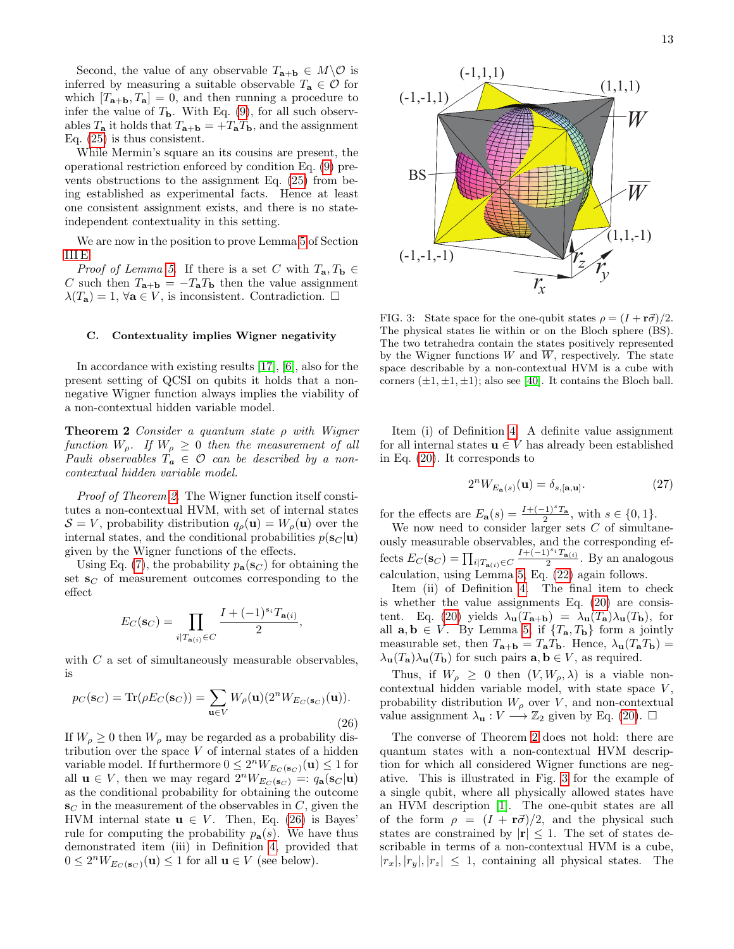Second, the value of any observable  $T_{\mathbf{a}+\mathbf{b}} \in M \backslash \mathcal{O}$  is inferred by measuring a suitable observable  $T_a \in \mathcal{O}$  for which  $[T_{a+b}, T_a] = 0$ , and then running a procedure to infer the value of  $T<sub>b</sub>$ . With Eq. [\(9\)](#page-5-1), for all such observables  $T_a$  it holds that  $T_{a+b} = +T_aT_b$ , and the assignment Eq. [\(25\)](#page-11-3) is thus consistent.

While Mermin's square an its cousins are present, the operational restriction enforced by condition Eq. [\(9\)](#page-5-1) prevents obstructions to the assignment Eq. [\(25\)](#page-11-3) from being established as experimental facts. Hence at least one consistent assignment exists, and there is no stateindependent contextuality in this setting.

We are now in the position to prove Lemma [5](#page-7-5) of Section [III E.](#page-5-0)

*Proof of Lemma [5.](#page-7-5)* If there is a set C with  $T_a, T_b \in$ C such then  $T_{\mathbf{a}+\mathbf{b}} = -T_{\mathbf{a}}T_{\mathbf{b}}$  then the value assignment  $\lambda(T_a) = 1, \forall a \in V$ , is inconsistent. Contradiction.  $\Box$ 

# <span id="page-12-0"></span>C. Contextuality implies Wigner negativity

In accordance with existing results [\[17\]](#page-20-10), [\[6\]](#page-20-2), also for the present setting of QCSI on qubits it holds that a nonnegative Wigner function always implies the viability of a non-contextual hidden variable model.

<span id="page-12-1"></span>**Theorem 2** Consider a quantum state  $\rho$  with Wigner function  $W_{\rho}$ . If  $W_{\rho} \geq 0$  then the measurement of all Pauli observables  $T_a \in \mathcal{O}$  can be described by a noncontextual hidden variable model.

Proof of Theorem [2.](#page-12-1) The Wigner function itself constitutes a non-contextual HVM, with set of internal states  $S = V$ , probability distribution  $q_{\rho}(\mathbf{u}) = W_{\rho}(\mathbf{u})$  over the internal states, and the conditional probabilities  $p(\mathbf{s}_C | \mathbf{u})$ given by the Wigner functions of the effects.

Using Eq. [\(7\)](#page-4-4), the probability  $p_{\mathbf{a}}(\mathbf{s}_C)$  for obtaining the set  $\mathbf{s}_C$  of measurement outcomes corresponding to the effect

$$
E_C(\mathbf{s}_C) = \prod_{i|T_{\mathbf{a}(i)} \in C} \frac{I + (-1)^{s_i} T_{\mathbf{a}(i)}}{2},
$$

with  $C$  a set of simultaneously measurable observables, is

<span id="page-12-2"></span>
$$
p_C(\mathbf{s}_C) = \text{Tr}(\rho E_C(\mathbf{s}_C)) = \sum_{\mathbf{u} \in V} W_\rho(\mathbf{u}) (2^n W_{E_C(\mathbf{s}_C)}(\mathbf{u})).
$$
\n(26)

If  $W_{\rho} \geq 0$  then  $W_{\rho}$  may be regarded as a probability distribution over the space  $V$  of internal states of a hidden variable model. If furthermore  $0 \leq 2^n W_{E_C(\mathbf{s}_C)}(\mathbf{u}) \leq 1$  for all  $\mathbf{u} \in V$ , then we may regard  $2^n W_{E_C(\mathbf{s}_C)} =: q_\mathbf{a}(\mathbf{s}_C | \mathbf{u})$ as the conditional probability for obtaining the outcome  $\mathbf{s}_C$  in the measurement of the observables in C, given the HVM internal state  $u \in V$ . Then, Eq. [\(26\)](#page-12-2) is Bayes' rule for computing the probability  $p_a(s)$ . We have thus demonstrated item (iii) in Definition [4,](#page-11-2) provided that  $0 \leq 2^n W_{E_C(\mathbf{s}_C)}(\mathbf{u}) \leq 1$  for all  $\mathbf{u} \in V$  (see below).



<span id="page-12-3"></span>FIG. 3: State space for the one-qubit states  $\rho = (I + r\vec{\sigma})/2$ . The physical states lie within or on the Bloch sphere (BS). The two tetrahedra contain the states positively represented by the Wigner functions W and  $\overline{W}$ , respectively. The state space describable by a non-contextual HVM is a cube with corners  $(\pm 1, \pm 1, \pm 1)$ ; also see [\[40\]](#page-20-32). It contains the Bloch ball.

Item (i) of Definition [4.](#page-11-2) A definite value assignment for all internal states  $\mathbf{u} \in V$  has already been established in Eq. [\(20\)](#page-9-1). It corresponds to

$$
2^{n}W_{E_{\mathbf{a}}(s)}(\mathbf{u}) = \delta_{s,[\mathbf{a},\mathbf{u}]}. \tag{27}
$$

for the effects are  $E_{\mathbf{a}}(s) = \frac{I + (-1)^s T_{\mathbf{a}}}{2}$ , with  $s \in \{0, 1\}$ .

We now need to consider larger sets  $C$  of simultaneously measurable observables, and the corresponding effects  $E_C(\mathbf{s}_C) = \prod_{i|T_{\mathbf{a}(i)} \in C}$  $I+(-1)^{s_i}T_{a(i)}$  $\frac{1}{2}$   $\frac{1}{2}$   $\frac{1}{2}$  and analogous calculation, using Lemma [5,](#page-7-5) Eq. [\(22\)](#page-11-4) again follows.

Item (ii) of Definition [4.](#page-11-2) The final item to check is whether the value assignments Eq. [\(20\)](#page-9-1) are consis-tent. Eq. [\(20\)](#page-9-1) yields  $\lambda_{\mathbf{u}}(T_{\mathbf{a}+\mathbf{b}}) = \lambda_{\mathbf{u}}(T_{\mathbf{a}})\lambda_{\mathbf{u}}(T_{\mathbf{b}})$ , for all  $\mathbf{a}, \mathbf{b} \in V$ . By Lemma [5,](#page-7-5) if  $\{T_{\mathbf{a}}, T_{\mathbf{b}}\}$  form a jointly measurable set, then  $T_{\mathbf{a}+\mathbf{b}} = T_{\mathbf{a}}T_{\mathbf{b}}$ . Hence,  $\lambda_{\mathbf{u}}(T_{\mathbf{a}}T_{\mathbf{b}}) =$  $\lambda_{\mathbf{u}}(T_{\mathbf{a}})\lambda_{\mathbf{u}}(T_{\mathbf{b}})$  for such pairs  $\mathbf{a}, \mathbf{b} \in V$ , as required.

Thus, if  $W_{\rho} \geq 0$  then  $(V, W_{\rho}, \lambda)$  is a viable noncontextual hidden variable model, with state space  $V$ , probability distribution  $W_\rho$  over  $V,$  and non-contextual value assignment  $\lambda_{\mathbf{u}} : V \longrightarrow \mathbb{Z}_2$  given by Eq. [\(20\)](#page-9-1).  $\Box$ 

The converse of Theorem [2](#page-12-1) does not hold: there are quantum states with a non-contextual HVM description for which all considered Wigner functions are negative. This is illustrated in Fig. [3](#page-12-3) for the example of a single qubit, where all physically allowed states have an HVM description [\[1\]](#page-20-0). The one-qubit states are all of the form  $\rho = (I + r\vec{\sigma})/2$ , and the physical such states are constrained by  $|\mathbf{r}| \leq 1$ . The set of states describable in terms of a non-contextual HVM is a cube,  $|r_x|, |r_y|, |r_z| \leq 1$ , containing all physical states. The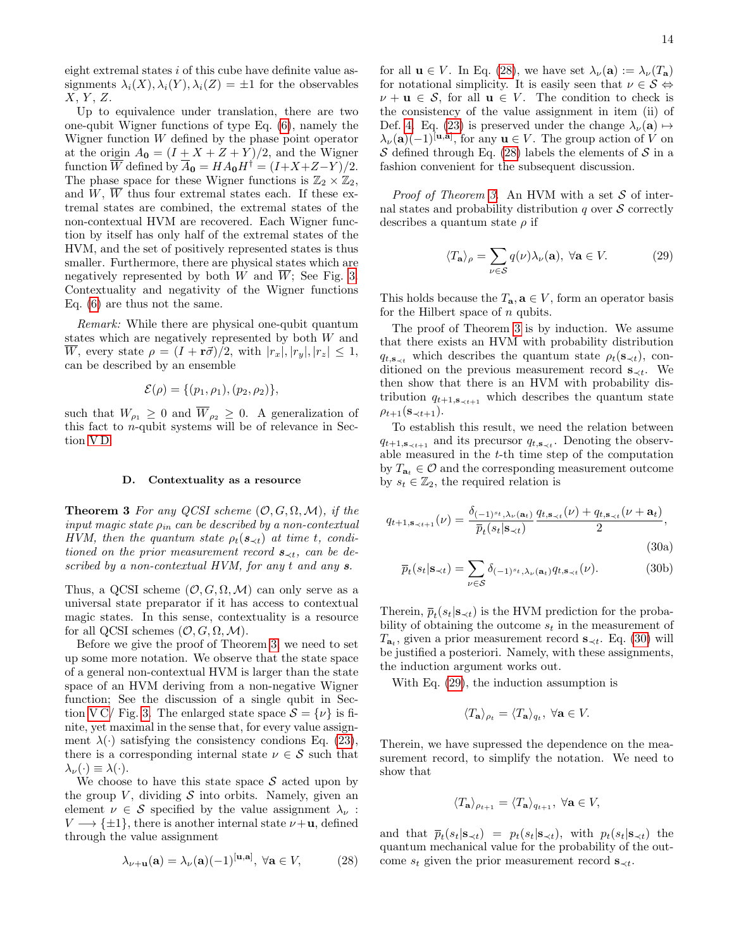eight extremal states i of this cube have definite value assignments  $\lambda_i(X), \lambda_i(Y), \lambda_i(Z) = \pm 1$  for the observables  $X, Y, Z$ .

Up to equivalence under translation, there are two one-qubit Wigner functions of type Eq. [\(6\)](#page-4-3), namely the Wigner function W defined by the phase point operator at the origin  $A_0 = (I + X + Z + Y)/2$ , and the Wigner function  $\overline{W}$  defined by  $\overline{A}_0 = H A_0 H^{\dagger} = (I + X + Z - Y)/2$ . The phase space for these Wigner functions is  $\mathbb{Z}_2 \times \mathbb{Z}_2$ , and  $W$ ,  $\overline{W}$  thus four extremal states each. If these extremal states are combined, the extremal states of the non-contextual HVM are recovered. Each Wigner function by itself has only half of the extremal states of the HVM, and the set of positively represented states is thus smaller. Furthermore, there are physical states which are negatively represented by both W and  $\overline{W}$ ; See Fig. [3.](#page-12-3) Contextuality and negativity of the Wigner functions Eq. [\(6\)](#page-4-3) are thus not the same.

Remark: While there are physical one-qubit quantum states which are negatively represented by both W and  $\overline{W}$ , every state  $\rho = (I + r\vec{\sigma})/2$ , with  $|r_x|, |r_y|, |r_z| \leq 1$ , can be described by an ensemble

$$
\mathcal{E}(\rho) = \{ (p_1, \rho_1), (p_2, \rho_2) \},
$$

such that  $W_{\rho_1} \geq 0$  and  $\overline{W}_{\rho_2} \geq 0$ . A generalization of this fact to n-qubit systems will be of relevance in Section [V D.](#page-13-1)

#### <span id="page-13-1"></span>D. Contextuality as a resource

<span id="page-13-0"></span>**Theorem 3** For any QCSI scheme  $(0, G, \Omega, \mathcal{M})$ , if the input magic state  $\rho_{in}$  can be described by a non-contextual HVM, then the quantum state  $\rho_t(\mathbf{s}_{\prec t})$  at time t, conditioned on the prior measurement record  $s_{\prec t}$ , can be described by a non-contextual HVM, for any t and any  $s$ .

Thus, a QCSI scheme  $(\mathcal{O}, G, \Omega, \mathcal{M})$  can only serve as a universal state preparator if it has access to contextual magic states. In this sense, contextuality is a resource for all QCSI schemes  $(\mathcal{O}, G, \Omega, \mathcal{M})$ .

Before we give the proof of Theorem [3,](#page-13-0) we need to set up some more notation. We observe that the state space of a general non-contextual HVM is larger than the state space of an HVM deriving from a non-negative Wigner function; See the discussion of a single qubit in Sec-tion [V C/](#page-12-0) Fig. [3.](#page-12-3) The enlarged state space  $S = \{\nu\}$  is finite, yet maximal in the sense that, for every value assignment  $\lambda(\cdot)$  satisfying the consistency condions Eq. [\(23\)](#page-11-5), there is a corresponding internal state  $\nu \in \mathcal{S}$  such that  $\lambda_{\nu}(\cdot) \equiv \lambda(\cdot).$ 

We choose to have this state space  $\mathcal S$  acted upon by the group V, dividing  $S$  into orbits. Namely, given an element  $\nu \in \mathcal{S}$  specified by the value assignment  $\lambda_{\nu}$ :  $V \longrightarrow {\pm 1}$ , there is another internal state  $\nu + \mathbf{u}$ , defined through the value assignment

<span id="page-13-2"></span>
$$
\lambda_{\nu+\mathbf{u}}(\mathbf{a}) = \lambda_{\nu}(\mathbf{a})(-1)^{[\mathbf{u},\mathbf{a}]}, \ \forall \mathbf{a} \in V, \tag{28}
$$

for all  $\mathbf{u} \in V$ . In Eq. [\(28\)](#page-13-2), we have set  $\lambda_{\nu}(\mathbf{a}) := \lambda_{\nu}(T_{\mathbf{a}})$ for notational simplicity. It is easily seen that  $\nu \in \mathcal{S} \Leftrightarrow$  $\nu + \mathbf{u} \in \mathcal{S}$ , for all  $\mathbf{u} \in V$ . The condition to check is the consistency of the value assignment in item (ii) of Def. [4.](#page-11-2) Eq. [\(23\)](#page-11-5) is preserved under the change  $\lambda_{\nu}(\mathbf{a}) \mapsto$  $\lambda_{\nu}(\mathbf{a})(-1)^{[\mathbf{u},\mathbf{a}]},$  for any  $\mathbf{u} \in V$ . The group action of V on S defined through Eq. [\(28\)](#page-13-2) labels the elements of S in a fashion convenient for the subsequent discussion.

*Proof of Theorem [3.](#page-13-0)* An HVM with a set  $S$  of internal states and probability distribution q over  $S$  correctly describes a quantum state  $\rho$  if

<span id="page-13-4"></span>
$$
\langle T_{\mathbf{a}} \rangle_{\rho} = \sum_{\nu \in \mathcal{S}} q(\nu) \lambda_{\nu}(\mathbf{a}), \ \forall \mathbf{a} \in V. \tag{29}
$$

This holds because the  $T_{\mathbf{a}}, \mathbf{a} \in V$ , form an operator basis for the Hilbert space of  $n$  qubits.

The proof of Theorem [3](#page-13-0) is by induction. We assume that there exists an HVM with probability distribution  $q_{t,s_{\prec t}}$  which describes the quantum state  $\rho_t(s_{\prec t})$ , conditioned on the previous measurement record  $s_{\prec t}$ . We then show that there is an HVM with probability distribution  $q_{t+1,\mathbf{s}_{\prec t+1}}$  which describes the quantum state  $\rho_{t+1}(\mathbf{s}_{\prec t+1}).$ 

To establish this result, we need the relation between  $q_{t+1,s_{\prec t+1}}$  and its precursor  $q_{t,s_{\prec t}}$ . Denoting the observable measured in the t-th time step of the computation by  $T_{\mathbf{a}_t} \in \mathcal{O}$  and the corresponding measurement outcome by  $s_t \in \mathbb{Z}_2$ , the required relation is

<span id="page-13-3"></span>
$$
q_{t+1,\mathbf{s}_{\prec t+1}}(\nu) = \frac{\delta_{(-1)^{st},\lambda_{\nu}(\mathbf{a}_t)}}{\overline{p}_t(s_t|\mathbf{s}_{\prec t})} \frac{q_{t,\mathbf{s}_{\prec t}}(\nu) + q_{t,\mathbf{s}_{\prec t}}(\nu + \mathbf{a}_t)}{2},\tag{30a}
$$

<span id="page-13-6"></span>
$$
\overline{p}_t(s_t | \mathbf{s}_{\prec t}) = \sum_{\nu \in \mathcal{S}} \delta_{(-1)^{s_t}, \lambda_\nu(\mathbf{a}_t)} q_{t, \mathbf{s}_{\prec t}}(\nu). \tag{30b}
$$

Therein,  $\bar{p}_t(s_t | \mathbf{s}_{\prec t})$  is the HVM prediction for the probability of obtaining the outcome  $s_t$  in the measurement of  $T_{\mathbf{a}_t}$ , given a prior measurement record  $\mathbf{s}_{\prec t}$ . Eq. [\(30\)](#page-13-3) will be justified a posteriori. Namely, with these assignments, the induction argument works out.

With Eq. [\(29\)](#page-13-4), the induction assumption is

<span id="page-13-5"></span>
$$
\langle T_{\mathbf{a}} \rangle_{\rho_t} = \langle T_{\mathbf{a}} \rangle_{q_t}, \ \forall \mathbf{a} \in V.
$$

Therein, we have supressed the dependence on the measurement record, to simplify the notation. We need to show that

$$
\langle T_{\mathbf{a}} \rangle_{\rho_{t+1}} = \langle T_{\mathbf{a}} \rangle_{q_{t+1}}, \ \forall \mathbf{a} \in V,
$$

and that  $\overline{p}_t(s_t | \mathbf{s}_{\prec t}) = p_t(s_t | \mathbf{s}_{\prec t})$ , with  $p_t(s_t | \mathbf{s}_{\prec t})$  the quantum mechanical value for the probability of the outcome  $s_t$  given the prior measurement record  $s_{\prec t}$ .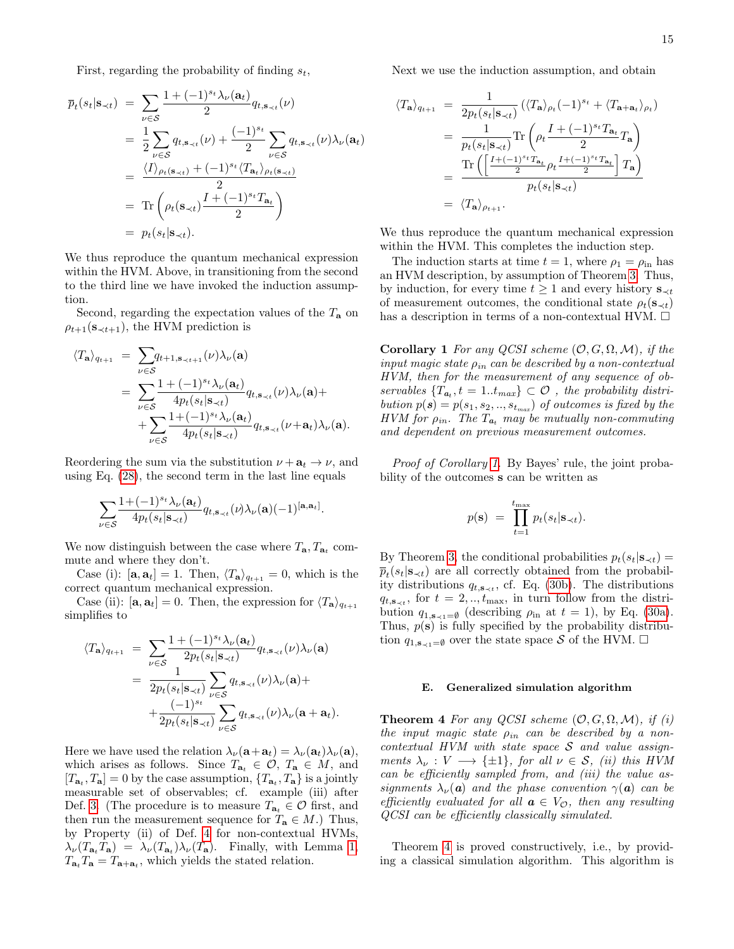First, regarding the probability of finding  $s_t$ ,

$$
\overline{p}_t(s_t | \mathbf{s}_{\prec t}) = \sum_{\nu \in S} \frac{1 + (-1)^{s_t} \lambda_{\nu}(\mathbf{a}_t)}{2} q_{t, \mathbf{s}_{\prec t}}(\nu)
$$
\n
$$
= \frac{1}{2} \sum_{\nu \in S} q_{t, \mathbf{s}_{\prec t}}(\nu) + \frac{(-1)^{s_t}}{2} \sum_{\nu \in S} q_{t, \mathbf{s}_{\prec t}}(\nu) \lambda_{\nu}(\mathbf{a}_t)
$$
\n
$$
= \frac{\langle I \rangle_{\rho_t(\mathbf{s}_{\prec t})} + (-1)^{s_t} \langle T_{\mathbf{a}_t} \rangle_{\rho_t(\mathbf{s}_{\prec t})}}{2}
$$
\n
$$
= \text{Tr}\left(\rho_t(\mathbf{s}_{\prec t}) \frac{I + (-1)^{s_t} T_{\mathbf{a}_t}}{2}\right)
$$
\n
$$
= p_t(s_t | \mathbf{s}_{\prec t}).
$$

We thus reproduce the quantum mechanical expression within the HVM. Above, in transitioning from the second to the third line we have invoked the induction assumption.

Second, regarding the expectation values of the  $T_a$  on  $\rho_{t+1}(\mathbf{s}_{\prec t+1}),$  the HVM prediction is

$$
\langle T_{\mathbf{a}} \rangle_{q_{t+1}} = \sum_{\nu \in S} q_{t+1, \mathbf{s}_{\prec t+1}}(\nu) \lambda_{\nu}(\mathbf{a})
$$
  
= 
$$
\sum_{\nu \in S} \frac{1 + (-1)^{s_t} \lambda_{\nu}(\mathbf{a}_t)}{4 p_t(s_t | \mathbf{s}_{\prec t})} q_{t, \mathbf{s}_{\prec t}}(\nu) \lambda_{\nu}(\mathbf{a}) +
$$
  
+ 
$$
\sum_{\nu \in S} \frac{1 + (-1)^{s_t} \lambda_{\nu}(\mathbf{a}_t)}{4 p_t(s_t | \mathbf{s}_{\prec t})} q_{t, \mathbf{s}_{\prec t}}(\nu + \mathbf{a}_t) \lambda_{\nu}(\mathbf{a}).
$$

Reordering the sum via the substitution  $\nu + \mathbf{a}_t \rightarrow \nu$ , and using Eq.  $(28)$ , the second term in the last line equals

$$
\sum_{\nu \in \mathcal{S}} \frac{1+(-1)^{s_t}\lambda_{\nu}(\mathbf{a}_t)}{4p_t(s_t|\mathbf{s}_{\prec t})} q_{t,\mathbf{s}_{\prec t}}(\nu) \lambda_{\nu}(\mathbf{a}) (-1)^{[\mathbf{a},\mathbf{a}_t]}.
$$

We now distinguish between the case where  $T_{\mathbf{a}}, T_{\mathbf{a}_t}$  commute and where they don't.

Case (i):  $[\mathbf{a}, \mathbf{a}_t] = 1$ . Then,  $\langle T_{\mathbf{a}} \rangle_{q_{t+1}} = 0$ , which is the correct quantum mechanical expression.

Case (ii):  $[\mathbf{a}, \mathbf{a}_t] = 0$ . Then, the expression for  $\langle T_{\mathbf{a}} \rangle_{q_{t+1}}$ simplifies to

$$
\langle T_{\mathbf{a}} \rangle_{q_{t+1}} = \sum_{\nu \in S} \frac{1 + (-1)^{s_t} \lambda_{\nu}(\mathbf{a}_t)}{2p_t(s_t|\mathbf{s}_{\prec t})} q_{t, \mathbf{s}_{\prec t}}(\nu) \lambda_{\nu}(\mathbf{a})
$$
  
= 
$$
\frac{1}{2p_t(s_t|\mathbf{s}_{\prec t})} \sum_{\nu \in S} q_{t, \mathbf{s}_{\prec t}}(\nu) \lambda_{\nu}(\mathbf{a}) +
$$

$$
+ \frac{(-1)^{s_t}}{2p_t(s_t|\mathbf{s}_{\prec t})} \sum_{\nu \in S} q_{t, \mathbf{s}_{\prec t}}(\nu) \lambda_{\nu}(\mathbf{a} + \mathbf{a}_t).
$$

Here we have used the relation  $\lambda_{\nu}(\mathbf{a}+\mathbf{a}_t) = \lambda_{\nu}(\mathbf{a}_t)\lambda_{\nu}(\mathbf{a})$ , which arises as follows. Since  $T_{a_t} \in \mathcal{O}, T_a \in M$ , and  $[T_{\mathbf{a}_t}, T_{\mathbf{a}}] = 0$  by the case assumption,  $\{T_{\mathbf{a}_t}, T_{\mathbf{a}}\}$  is a jointly measurable set of observables; cf. example (iii) after Def. [3.](#page-7-6) (The procedure is to measure  $T_{a_t} \in \mathcal{O}$  first, and then run the measurement sequence for  $T_a \in M$ .) Thus, by Property (ii) of Def. [4](#page-11-2) for non-contextual HVMs,  $\lambda_{\nu}(T_{\mathbf{a}_t}T_{\mathbf{a}}) = \lambda_{\nu}(T_{\mathbf{a}_t})\lambda_{\nu}(T_{\mathbf{a}}).$  Finally, with Lemma [1,](#page-5-2)  $T_{\mathbf{a}_t}T_{\mathbf{a}} = T_{\mathbf{a}+\mathbf{a}_t}$ , which yields the stated relation.

Next we use the induction assumption, and obtain

$$
\langle T_{\mathbf{a}} \rangle_{q_{t+1}} = \frac{1}{2p_t(s_t|\mathbf{s}_{\prec t})} (\langle T_{\mathbf{a}} \rangle_{\rho_t} (-1)^{s_t} + \langle T_{\mathbf{a} + \mathbf{a}_t} \rangle_{\rho_t})
$$
  
\n
$$
= \frac{1}{p_t(s_t|\mathbf{s}_{\prec t})} \text{Tr} \left( \rho_t \frac{I + (-1)^{s_t} T_{\mathbf{a}_t}}{2} T_{\mathbf{a}} \right)
$$
  
\n
$$
= \frac{\text{Tr} \left( \left[ \frac{I + (-1)^{s_t} T_{\mathbf{a}_t}}{2} \rho_t \frac{I + (-1)^{s_t} T_{\mathbf{a}_t}}{2} \right] T_{\mathbf{a}} \right)}{p_t(s_t|\mathbf{s}_{\prec t})}
$$
  
\n
$$
= \langle T_{\mathbf{a}} \rangle_{\rho_{t+1}}.
$$

We thus reproduce the quantum mechanical expression within the HVM. This completes the induction step.

The induction starts at time  $t = 1$ , where  $\rho_1 = \rho_{\text{in}}$  has an HVM description, by assumption of Theorem [3.](#page-13-0) Thus, by induction, for every time  $t \geq 1$  and every history  $\mathbf{s}_{\prec t}$ of measurement outcomes, the conditional state  $\rho_t(\mathbf{s}_{\prec t})$ has a description in terms of a non-contextual HVM.  $\square$ 

<span id="page-14-2"></span>**Corollary 1** For any QCSI scheme  $(0, G, \Omega, M)$ , if the input magic state  $\rho_{in}$  can be described by a non-contextual HVM, then for the measurement of any sequence of observables  $\{T_{a_t}, t = 1..t_{max}\} \subset \mathcal{O}$ , the probability distribution  $p(\boldsymbol{s}) = p(s_1, s_2, \dots, s_{t_{max}})$  of outcomes is fixed by the HVM for  $\rho_{in}$ . The  $T_{a_t}$  may be mutually non-commuting and dependent on previous measurement outcomes.

Proof of Corollary [1.](#page-14-2) By Bayes' rule, the joint probability of the outcomes s can be written as

$$
p(\mathbf{s}) = \prod_{t=1}^{t_{\max}} p_t(s_t | \mathbf{s}_{\prec t}).
$$

By Theorem [3,](#page-13-0) the conditional probabilities  $p_t(s_t|\mathbf{s}_{\prec t}) =$  $\overline{p}_t(s_t | \mathbf{s}_{\prec t})$  are all correctly obtained from the probability distributions  $q_{t, \mathbf{s}_{\prec t}}$ , cf. Eq. [\(30b\)](#page-13-5). The distributions  $q_{t, \mathbf{s}_{\prec t}}$ , for  $t = 2, ..., t_{\text{max}}$ , in turn follow from the distribution  $q_{1,\mathbf{s}\prec 1}=\emptyset$  (describing  $\rho_{\text{in}}$  at  $t=1$ ), by Eq. [\(30a\)](#page-13-6). Thus,  $p(s)$  is fully specified by the probability distribution  $q_{1,\mathbf{s}_{\leq 1}=\emptyset}$  over the state space S of the HVM.  $\square$ 

## <span id="page-14-1"></span>E. Generalized simulation algorithm

<span id="page-14-0"></span>**Theorem 4** For any QCSI scheme  $(0, G, \Omega, M)$ , if (i) the input magic state  $\rho_{in}$  can be described by a non $contextual HVM with state space S and value assign$ ments  $\lambda_{\nu}: V \longrightarrow {\pm 1}$ , for all  $\nu \in S$ , (ii) this HVM can be efficiently sampled from, and (iii) the value assignments  $\lambda_{\nu}(\mathbf{a})$  and the phase convention  $\gamma(\mathbf{a})$  can be efficiently evaluated for all  $\mathbf{a} \in V_{\mathcal{O}}$ , then any resulting QCSI can be efficiently classically simulated.

Theorem [4](#page-14-0) is proved constructively, i.e., by providing a classical simulation algorithm. This algorithm is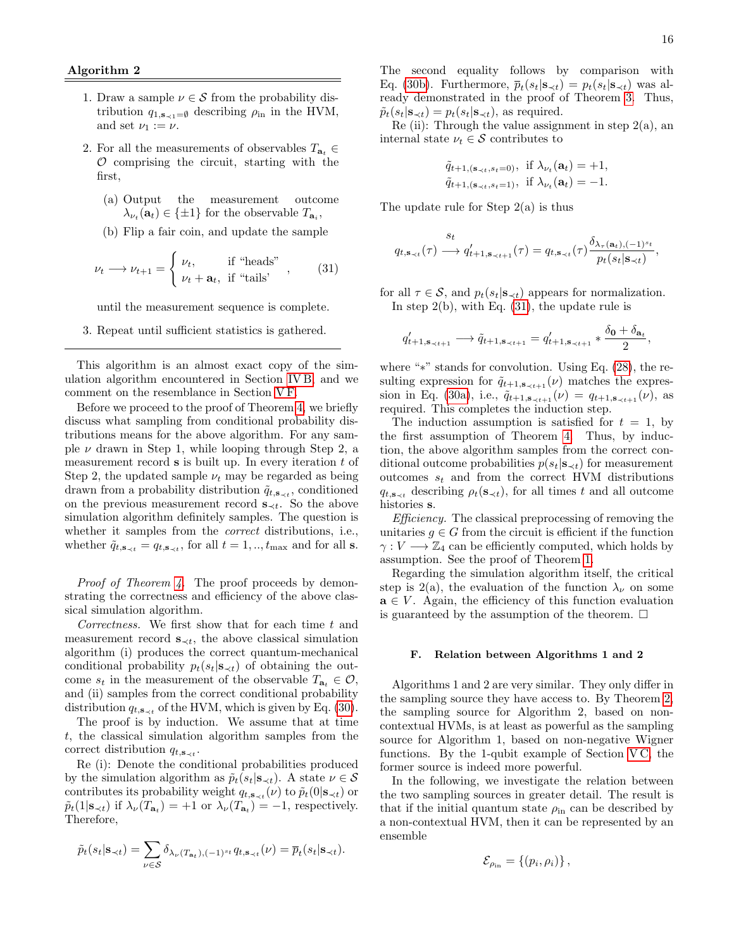## Algorithm 2

- 1. Draw a sample  $\nu \in \mathcal{S}$  from the probability distribution  $q_{1,\mathbf{s}_{\leq 1}=\emptyset}$  describing  $\rho_{\text{in}}$  in the HVM, and set  $\nu_1 := \nu$ .
- 2. For all the measurements of observables  $T_{a_t} \in$  $O$  comprising the circuit, starting with the first,
	- (a) Output the measurement outcome  $\lambda_{\nu_t}(\mathbf{a}_t) \in \{\pm 1\}$  for the observable  $T_{\mathbf{a}_i}$ ,
	- (b) Flip a fair coin, and update the sample

<span id="page-15-1"></span>
$$
\nu_t \longrightarrow \nu_{t+1} = \begin{cases} \nu_t, & \text{if "heads"} \\ \nu_t + \mathbf{a}_t, & \text{if "tails'} \end{cases}, \quad (31)
$$

until the measurement sequence is complete.

3. Repeat until sufficient statistics is gathered.

This algorithm is an almost exact copy of the simulation algorithm encountered in Section [IV B,](#page-9-0) and we comment on the resemblance in Section [V F.](#page-15-0)

Before we proceed to the proof of Theorem [4,](#page-14-0) we briefly discuss what sampling from conditional probability distributions means for the above algorithm. For any sample  $\nu$  drawn in Step 1, while looping through Step 2, a measurement record  $s$  is built up. In every iteration  $t$  of Step 2, the updated sample  $\nu_t$  may be regarded as being drawn from a probability distribution  $\tilde{q}_{t,s_{\prec t}}$ , conditioned on the previous measurement record  $s_{\prec t}$ . So the above simulation algorithm definitely samples. The question is whether it samples from the *correct* distributions, i.e., whether  $\tilde{q}_{t, \mathbf{s}_{\prec t}} = q_{t, \mathbf{s}_{\prec t}}$ , for all  $t = 1, ..., t_{\text{max}}$  and for all s.

Proof of Theorem [4.](#page-14-0) The proof proceeds by demonstrating the correctness and efficiency of the above classical simulation algorithm.

Correctness. We first show that for each time  $t$  and measurement record  $s_{\prec t}$ , the above classical simulation algorithm (i) produces the correct quantum-mechanical conditional probability  $p_t(s_t|\mathbf{s}_{\prec t})$  of obtaining the outcome  $s_t$  in the measurement of the observable  $T_{a_t} \in \mathcal{O}$ , and (ii) samples from the correct conditional probability distribution  $q_{t, \mathbf{s}_{\prec t}}$  of the HVM, which is given by Eq. [\(30\)](#page-13-3).

The proof is by induction. We assume that at time t, the classical simulation algorithm samples from the correct distribution  $q_{t, \mathbf{s}_{\prec t}}$ .

Re (i): Denote the conditional probabilities produced by the simulation algorithm as  $\tilde{p}_t(s_t|\mathbf{s}_{\prec t})$ . A state  $\nu \in \mathcal{S}$ contributes its probability weight  $q_{t, \mathbf{s}_{\prec t}}(\nu)$  to  $\tilde{p}_t(0|\mathbf{s}_{\prec t})$  or  $\tilde{p}_t(1|\mathbf{s}_{\prec t})$  if  $\lambda_{\nu}(T_{\mathbf{a}_t}) = +1$  or  $\lambda_{\nu}(T_{\mathbf{a}_t}) = -1$ , respectively. Therefore,

$$
\tilde{p}_t(s_t|\mathbf{s}_{\prec t}) = \sum_{\nu \in \mathcal{S}} \delta_{\lambda_{\nu}(T_{\mathbf{a}_t}), (-1)^{s_t} q_{t,\mathbf{s}_{\prec t}}(\nu)} = \overline{p}_t(s_t|\mathbf{s}_{\prec t}).
$$

The second equality follows by comparison with Eq. [\(30b\)](#page-13-5). Furthermore,  $\overline{p}_t(s_t | \mathbf{s}_{\prec t}) = p_t(s_t | \mathbf{s}_{\prec t})$  was already demonstrated in the proof of Theorem [3.](#page-13-0) Thus,  $\tilde{p}_t(s_t|\mathbf{s}_{\prec t}) = p_t(s_t|\mathbf{s}_{\prec t}),$  as required.

Re (ii): Through the value assignment in step  $2(a)$ , an internal state  $\nu_t \in \mathcal{S}$  contributes to

$$
\tilde{q}_{t+1,(\mathbf{s}_{\prec t},s_t=0)}, \text{ if } \lambda_{\nu_t}(\mathbf{a}_t) = +1, \tilde{q}_{t+1,(\mathbf{s}_{\prec t},s_t=1)}, \text{ if } \lambda_{\nu_t}(\mathbf{a}_t) = -1.
$$

The update rule for Step  $2(a)$  is thus

$$
q_{t,\mathbf{s}_{\prec t}}(\tau) \xrightarrow{\mathbf{s}_t} q'_{t+1,\mathbf{s}_{\prec t+1}}(\tau) = q_{t,\mathbf{s}_{\prec t}}(\tau) \frac{\delta_{\lambda_{\tau}(\mathbf{a}_t),(-1)^{s_t}}}{p_t(s_t|\mathbf{s}_{\prec t})},
$$

for all  $\tau \in \mathcal{S}$ , and  $p_t(s_t|\mathbf{s}_{\prec t})$  appears for normalization. In step  $2(b)$ , with Eq.  $(31)$ , the update rule is

$$
q'_{t+1, \mathbf{s}_{\prec t+1}} \longrightarrow \tilde{q}_{t+1, \mathbf{s}_{\prec t+1}} = q'_{t+1, \mathbf{s}_{\prec t+1}} * \frac{\delta_{\mathbf{0}} + \delta_{\mathbf{a}_t}}{2},
$$

where "∗" stands for convolution. Using Eq. [\(28\)](#page-13-2), the resulting expression for  $\tilde{q}_{t+1,\mathbf{s}_{\prec t+1}}(\nu)$  matches the expres-sion in Eq. [\(30a\)](#page-13-6), i.e.,  $\tilde{q}_{t+1,s_{\prec t+1}}(\nu) = q_{t+1,s_{\prec t+1}}(\nu)$ , as required. This completes the induction step.

The induction assumption is satisfied for  $t = 1$ , by the first assumption of Theorem [4.](#page-14-0) Thus, by induction, the above algorithm samples from the correct conditional outcome probabilities  $p(s_t|\mathbf{s}_{\prec t})$  for measurement outcomes  $s_t$  and from the correct HVM distributions  $q_{t,s_{\prec t}}$  describing  $\rho_t(s_{\prec t})$ , for all times t and all outcome histories s.

Efficiency. The classical preprocessing of removing the unitaries  $g \in G$  from the circuit is efficient if the function  $\gamma: V \longrightarrow \mathbb{Z}_4$  can be efficiently computed, which holds by assumption. See the proof of Theorem [1.](#page-8-0)

Regarding the simulation algorithm itself, the critical step is 2(a), the evaluation of the function  $\lambda_{\nu}$  on some  $\mathbf{a} \in V$ . Again, the efficiency of this function evaluation is guaranteed by the assumption of the theorem.  $\Box$ 

#### <span id="page-15-0"></span>F. Relation between Algorithms 1 and 2

Algorithms 1 and 2 are very similar. They only differ in the sampling source they have access to. By Theorem [2,](#page-12-1) the sampling source for Algorithm 2, based on noncontextual HVMs, is at least as powerful as the sampling source for Algorithm 1, based on non-negative Wigner functions. By the 1-qubit example of Section  $VC$ , the former source is indeed more powerful.

In the following, we investigate the relation between the two sampling sources in greater detail. The result is that if the initial quantum state  $\rho_{\text{in}}$  can be described by a non-contextual HVM, then it can be represented by an ensemble

$$
\mathcal{E}_{\rho_{\text{in}}} = \left\{ (p_i, \rho_i) \right\},\,
$$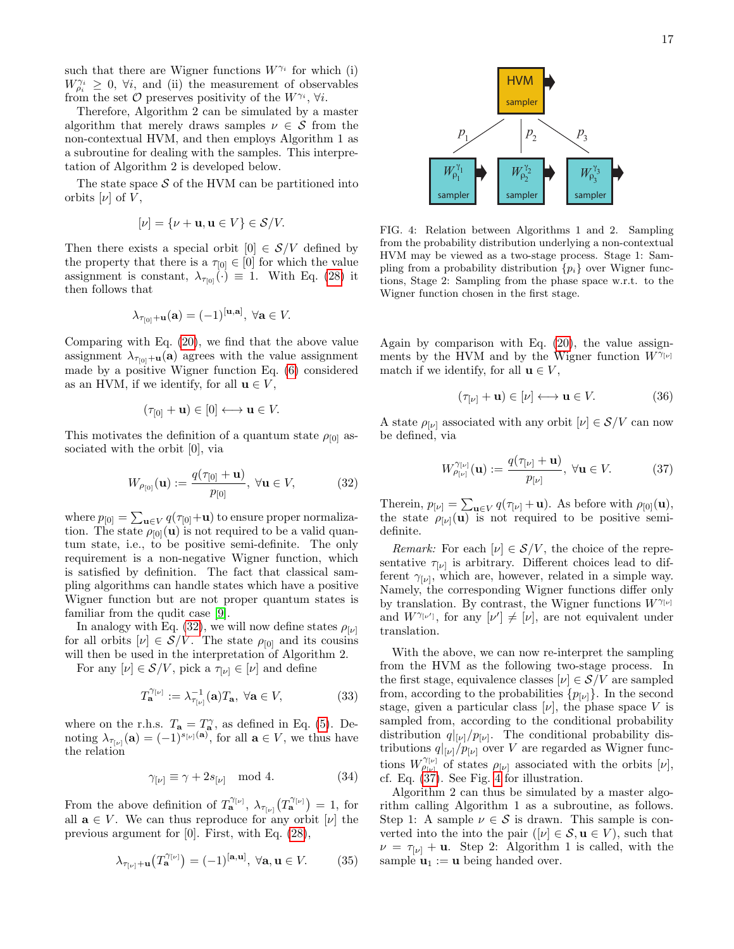such that there are Wigner functions  $W^{\gamma_i}$  for which (i)  $W_{\rho_i}^{\gamma_i} \geq 0$ ,  $\forall i$ , and (ii) the measurement of observables from the set  $\mathcal O$  preserves positivity of the  $W^{\gamma_i}$ ,  $\forall i$ .

Therefore, Algorithm 2 can be simulated by a master algorithm that merely draws samples  $\nu \in \mathcal{S}$  from the non-contextual HVM, and then employs Algorithm 1 as a subroutine for dealing with the samples. This interpretation of Algorithm 2 is developed below.

The state space  $S$  of the HVM can be partitioned into orbits  $[\nu]$  of V,

$$
[\nu] = {\nu + \mathbf{u}, \mathbf{u} \in V} \in \mathcal{S}/V.
$$

Then there exists a special orbit  $[0] \in S/V$  defined by the property that there is a  $\tau_{[0]} \in [0]$  for which the value assignment is constant,  $\lambda_{\tau_{[0]}}(\cdot) \equiv 1$ . With Eq. [\(28\)](#page-13-2) it then follows that

$$
\lambda_{\tau_{[0]}+\mathbf{u}}(\mathbf{a})=(-1)^{[\mathbf{u},\mathbf{a}]},\ \forall \mathbf{a}\in V.
$$

Comparing with Eq. [\(20\)](#page-9-1), we find that the above value assignment  $\lambda_{\tau_{[0]}+\mathbf{u}}(\mathbf{a})$  agrees with the value assignment made by a positive Wigner function Eq. [\(6\)](#page-4-3) considered as an HVM, if we identify, for all  $\mathbf{u} \in V$ ,

$$
(\tau_{[0]} + \mathbf{u}) \in [0] \longleftrightarrow \mathbf{u} \in V.
$$

This motivates the definition of a quantum state  $\rho_{[0]}$  associated with the orbit [0], via

<span id="page-16-0"></span>
$$
W_{\rho_{[0]}}(\mathbf{u}) := \frac{q(\tau_{[0]} + \mathbf{u})}{p_{[0]}}, \ \forall \mathbf{u} \in V,
$$
 (32)

where  $p_{[0]} = \sum_{{\bf u}\in V} q(\tau_{[0]}+{\bf u})$  to ensure proper normalization. The state  $\rho_{[0]}(\mathbf{u})$  is not required to be a valid quantum state, i.e., to be positive semi-definite. The only requirement is a non-negative Wigner function, which is satisfied by definition. The fact that classical sampling algorithms can handle states which have a positive Wigner function but are not proper quantum states is familiar from the qudit case [\[9\]](#page-20-5).

In analogy with Eq. [\(32\)](#page-16-0), we will now define states  $\rho_{[\nu]}$ for all orbits  $[\nu] \in S/V$ . The state  $\rho_{[0]}$  and its cousins will then be used in the interpretation of Algorithm 2.

For any  $[\nu] \in \mathcal{S}/V$ , pick a  $\tau_{[\nu]} \in [\nu]$  and define

<span id="page-16-3"></span>
$$
T_{\mathbf{a}}^{\gamma_{[\nu]}} := \lambda_{\tau_{[\nu]}}^{-1}(\mathbf{a}) T_{\mathbf{a}}, \ \forall \mathbf{a} \in V,\tag{33}
$$

where on the r.h.s.  $T_a = T_a^{\gamma}$ , as defined in Eq. [\(5\)](#page-4-2). Denoting  $\lambda_{\tau_{[\nu]}}(\mathbf{a}) = (-1)^{s_{[\nu]}}(\mathbf{a})$ , for all  $\mathbf{a} \in V$ , we thus have the relation

<span id="page-16-4"></span>
$$
\gamma_{\left[\nu\right]} \equiv \gamma + 2s_{\left[\nu\right]} \mod 4. \tag{34}
$$

From the above definition of  $T_{\mathbf{a}}^{\gamma_{[\nu]}}, \lambda_{\tau_{[\nu]}}(T_{\mathbf{a}}^{\gamma_{[\nu]}})=1$ , for all  $\mathbf{a} \in V$ . We can thus reproduce for any orbit  $[\nu]$  the previous argument for [0]. First, with Eq. [\(28\)](#page-13-2),

<span id="page-16-5"></span>
$$
\lambda_{\tau_{[\nu]}+\mathbf{u}}(T_{\mathbf{a}}^{\gamma_{[\nu]}}) = (-1)^{[\mathbf{a},\mathbf{u}]}, \ \forall \mathbf{a}, \mathbf{u} \in V. \tag{35}
$$



<span id="page-16-2"></span>FIG. 4: Relation between Algorithms 1 and 2. Sampling from the probability distribution underlying a non-contextual HVM may be viewed as a two-stage process. Stage 1: Sampling from a probability distribution  $\{p_i\}$  over Wigner functions, Stage 2: Sampling from the phase space w.r.t. to the Wigner function chosen in the first stage.

Again by comparison with Eq. [\(20\)](#page-9-1), the value assignments by the HVM and by the Wigner function  $W^{\gamma_{[\nu]}}$ match if we identify, for all  $\mathbf{u} \in V$ ,

$$
(\tau_{\lbrack\nu\rbrack} + \mathbf{u}) \in [\nu] \longleftrightarrow \mathbf{u} \in V. \tag{36}
$$

A state  $\rho_{[\nu]}$  associated with any orbit  $[\nu] \in \mathcal{S}/V$  can now be defined, via

<span id="page-16-1"></span>
$$
W_{\rho_{\lbrack\nu\rbrack}}^{\gamma_{\lbrack\nu\rbrack}}(\mathbf{u}) := \frac{q(\tau_{\lbrack\nu\rbrack} + \mathbf{u})}{p_{\lbrack\nu\rbrack}}, \ \forall \mathbf{u} \in V. \tag{37}
$$

Therein,  $p_{[\nu]} = \sum_{\mathbf{u} \in V} q(\tau_{[\nu]} + \mathbf{u})$ . As before with  $\rho_{[0]}(\mathbf{u}),$ the state  $\rho_{[\nu]}(\mathbf{u})$  is not required to be positive semidefinite.

*Remark:* For each  $[\nu] \in S/V$ , the choice of the representative  $\tau_{[\nu]}$  is arbitrary. Different choices lead to different  $\gamma_{\vert \nu \vert}$ , which are, however, related in a simple way. Namely, the corresponding Wigner functions differ only by translation. By contrast, the Wigner functions  $W^{\gamma_{[\nu]}}$ and  $W^{\gamma_{\lbrack\nu']}}$ , for any  $\lbrack\nu'\rbrack \neq \lbrack\nu]$ , are not equivalent under translation.

With the above, we can now re-interpret the sampling from the HVM as the following two-stage process. In the first stage, equivalence classes  $[\nu] \in \mathcal{S}/V$  are sampled from, according to the probabilities  $\{p_{[\nu]}\}\$ . In the second stage, given a particular class  $[\nu]$ , the phase space V is sampled from, according to the conditional probability distribution  $q|_{[\nu]}/p_{[\nu]}$ . The conditional probability distributions  $q|_{[\nu]}/p_{[\nu]}$  over  $V$  are regarded as Wigner functions  $W_{\rho_{[\nu]}}^{\gamma_{[\nu]}}$  of states  $\rho_{[\nu]}$  associated with the orbits  $[\nu]$ , cf. Eq.  $(37)$ . See Fig. [4](#page-16-2) for illustration.

Algorithm 2 can thus be simulated by a master algorithm calling Algorithm 1 as a subroutine, as follows. Step 1: A sample  $\nu \in \mathcal{S}$  is drawn. This sample is converted into the into the pair  $([\nu] \in \mathcal{S}, \mathbf{u} \in V)$ , such that  $\nu = \tau_{\nu} + \mathbf{u}$ . Step 2: Algorithm 1 is called, with the sample  $\mathbf{u}_1 := \mathbf{u}$  being handed over.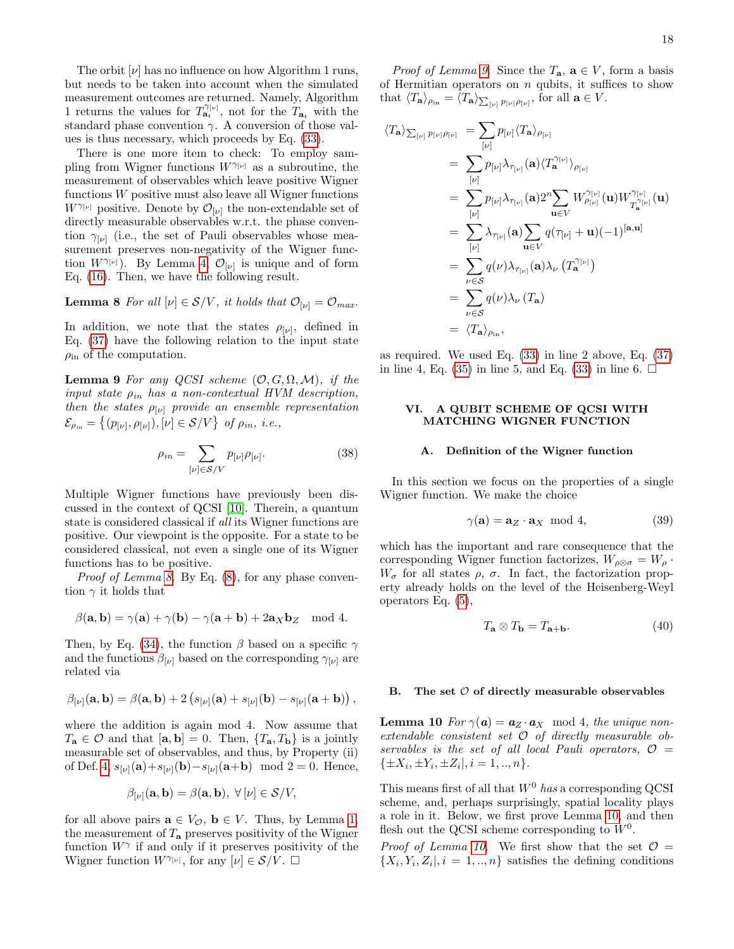The orbit  $[\nu]$  has no influence on how Algorithm 1 runs, but needs to be taken into account when the simulated measurement outcomes are returned. Namely, Algorithm 1 returns the values for  $T_{a_t}^{\gamma_{[\nu]}},$  not for the  $T_{a_t}$  with the standard phase convention  $\gamma$ . A conversion of those values is thus necessary, which proceeds by Eq. [\(33\)](#page-16-3).

There is one more item to check: To employ sampling from Wigner functions  $W^{\gamma_{[\nu]}}$  as a subroutine, the measurement of observables which leave positive Wigner functions W positive must also leave all Wigner functions  $W^{\gamma_{[\nu]}}$  positive. Denote by  $\mathcal{O}_{[\nu]}$  the non-extendable set of directly measurable observables w.r.t. the phase convention  $\gamma_{[\nu]}$  (i.e., the set of Pauli observables whose measurement preserves non-negativity of the Wigner function  $W^{\gamma_{[\nu]}}$ ). By Lemma [4,](#page-7-2)  $\mathcal{O}_{[\nu]}$  is unique and of form Eq. [\(16\)](#page-7-3). Then, we have the following result.

**Lemma 8** For all  $[\nu] \in S/V$ , it holds that  $\mathcal{O}_{[\nu]} = \mathcal{O}_{max}$ .

In addition, we note that the states  $\rho_{[\nu]}$ , defined in Eq. [\(37\)](#page-16-1) have the following relation to the input state  $\rho_{\rm in}$  of the computation.

**Lemma 9** For any QCSI scheme  $(0, G, \Omega, M)$ , if the input state  $\rho_{in}$  has a non-contextual HVM description, then the states  $\rho_{[\nu]}$  provide an ensemble representation  $\mathcal{E}_{\rho_{in}} = \left\{ (p_{[\nu]}, \rho_{[\nu]}), [\nu] \in \mathcal{S}/V \right\} \text{ of } \rho_{in}, \text{ i.e.,}$ 

<span id="page-17-3"></span>
$$
\rho_{in} = \sum_{[\nu] \in S/V} p_{[\nu]} \rho_{[\nu]}.
$$
\n(38)

Multiple Wigner functions have previously been discussed in the context of QCSI [\[10\]](#page-20-19). Therein, a quantum state is considered classical if all its Wigner functions are positive. Our viewpoint is the opposite. For a state to be considered classical, not even a single one of its Wigner functions has to be positive.

Proof of Lemma [8.](#page-17-2) By Eq.  $(8)$ , for any phase convention  $\gamma$  it holds that

$$
\beta(\mathbf{a}, \mathbf{b}) = \gamma(\mathbf{a}) + \gamma(\mathbf{b}) - \gamma(\mathbf{a} + \mathbf{b}) + 2\mathbf{a}_X \mathbf{b}_Z \mod 4.
$$

Then, by Eq. [\(34\)](#page-16-4), the function  $\beta$  based on a specific  $\gamma$ and the functions  $\beta_{\lbrack\nu\rbrack}$  based on the corresponding  $\gamma_{\lbrack\nu\rbrack}$  are related via

$$
\beta_{[\nu]}(\mathbf{a},\mathbf{b}) = \beta(\mathbf{a},\mathbf{b}) + 2\left(s_{[\nu]}(\mathbf{a}) + s_{[\nu]}(\mathbf{b}) - s_{[\nu]}(\mathbf{a} + \mathbf{b})\right),\,
$$

where the addition is again mod 4. Now assume that  $T_{\mathbf{a}} \in \mathcal{O}$  and that  $[\mathbf{a}, \mathbf{b}] = 0$ . Then,  $\{T_{\mathbf{a}}, T_{\mathbf{b}}\}$  is a jointly measurable set of observables, and thus, by Property (ii) of Def. [4,](#page-11-2)  $s_{[\nu]}(a)+s_{[\nu]}(b)-s_{[\nu]}(a+b) \mod 2=0$ . Hence,

$$
\beta_{\lbrack\nu\rbrack}(\mathbf{a},\mathbf{b})=\beta(\mathbf{a},\mathbf{b}),\ \forall\,\lbrack\nu\rbrack\in\mathcal{S}/V,
$$

for all above pairs  $\mathbf{a} \in V_{\mathcal{O}}$ ,  $\mathbf{b} \in V$ . Thus, by Lemma [1,](#page-5-2) the measurement of  $T_a$  preserves positivity of the Wigner function  $W^{\gamma}$  if and only if it preserves positivity of the Wigner function  $W^{\gamma_{[\nu]}},$  for any  $[\nu] \in \mathcal{S}/\tilde{V}$ .  $\square$ 

*Proof of Lemma [9.](#page-17-3)* Since the  $T_a$ ,  $a \in V$ , form a basis of Hermitian operators on  $n$  qubits, it suffices to show that  $\langle T_{\mathbf{a}} \rangle_{\rho_{\text{in}}} = \langle T_{\mathbf{a}} \rangle_{\sum_{[\nu]} p_{[\nu]} \rho_{[\nu]}},$  for all  $\mathbf{a} \in V$ .

$$
\langle T_{\mathbf{a}} \rangle_{\sum_{[\nu]} p_{[\nu]} \rho_{[\nu]}} = \sum_{[\nu]} p_{[\nu]} \langle T_{\mathbf{a}} \rangle_{\rho_{[\nu]}}
$$
  
\n
$$
= \sum_{[\nu]} p_{[\nu]} \lambda_{\tau_{[\nu]}}(\mathbf{a}) \langle T_{\mathbf{a}}^{\gamma_{[\nu]}} \rangle_{\rho_{[\nu]}}
$$
  
\n
$$
= \sum_{[\nu]} p_{[\nu]} \lambda_{\tau_{[\nu]}}(\mathbf{a}) 2^{n} \sum_{\mathbf{u} \in V} W_{\rho_{[\nu]}}^{\gamma_{[\nu]}}(\mathbf{u}) W_{T_{\mathbf{a}}^{\gamma_{[\nu]}}}^{\gamma_{[\nu]}}(\mathbf{u})
$$
  
\n
$$
= \sum_{[\nu]} \lambda_{\tau_{[\nu]}}(\mathbf{a}) \sum_{\mathbf{u} \in V} q(\tau_{[\nu]} + \mathbf{u}) (-1)^{[\mathbf{a}, \mathbf{u}]}
$$
  
\n
$$
= \sum_{\nu \in S} q(\nu) \lambda_{\tau_{[\nu]}}(\mathbf{a}) \lambda_{\nu} (T_{\mathbf{a}}^{\gamma_{[\nu]}})
$$
  
\n
$$
= \sum_{\nu \in S} q(\nu) \lambda_{\nu} (T_{\mathbf{a}})
$$
  
\n
$$
= \langle T_{\mathbf{a}} \rangle_{\rho_{\text{in}}},
$$

<span id="page-17-2"></span>as required. We used Eq. [\(33\)](#page-16-3) in line 2 above, Eq. [\(37\)](#page-16-1) in line 4, Eq. [\(35\)](#page-16-5) in line 5, and Eq. [\(33\)](#page-16-3) in line 6.  $\Box$ 

# <span id="page-17-0"></span>VI. A QUBIT SCHEME OF QCSI WITH MATCHING WIGNER FUNCTION

#### A. Definition of the Wigner function

In this section we focus on the properties of a single Wigner function. We make the choice

$$
\gamma(\mathbf{a}) = \mathbf{a}_Z \cdot \mathbf{a}_X \mod 4,\tag{39}
$$

which has the important and rare consequence that the corresponding Wigner function factorizes,  $W_{\rho\otimes \sigma} = W_{\rho}$ .  $W_{\sigma}$  for all states  $\rho$ ,  $\sigma$ . In fact, the factorization property already holds on the level of the Heisenberg-Weyl operators Eq. [\(5\)](#page-4-2),

<span id="page-17-5"></span>
$$
T_{\mathbf{a}} \otimes T_{\mathbf{b}} = T_{\mathbf{a} + \mathbf{b}}.\tag{40}
$$

#### <span id="page-17-1"></span>B. The set  $O$  of directly measurable observables

<span id="page-17-4"></span>**Lemma 10** For  $\gamma(\mathbf{a}) = \mathbf{a}_Z \cdot \mathbf{a}_X \mod 4$ , the unique nonextendable consistent set O of directly measurable observables is the set of all local Pauli operators,  $\mathcal{O}$  =  $\{\pm X_i, \pm Y_i, \pm Z_i |, i = 1, ..., n\}.$ 

This means first of all that  $W^0$  has a corresponding QCSI scheme, and, perhaps surprisingly, spatial locality plays a role in it. Below, we first prove Lemma [10,](#page-17-4) and then flesh out the QCSI scheme corresponding to  $W<sup>0</sup>$ .

*Proof of Lemma [10.](#page-17-4)* We first show that the set  $\mathcal{O} =$  $\{X_i, Y_i, Z_i |, i = 1, ..., n\}$  satisfies the defining conditions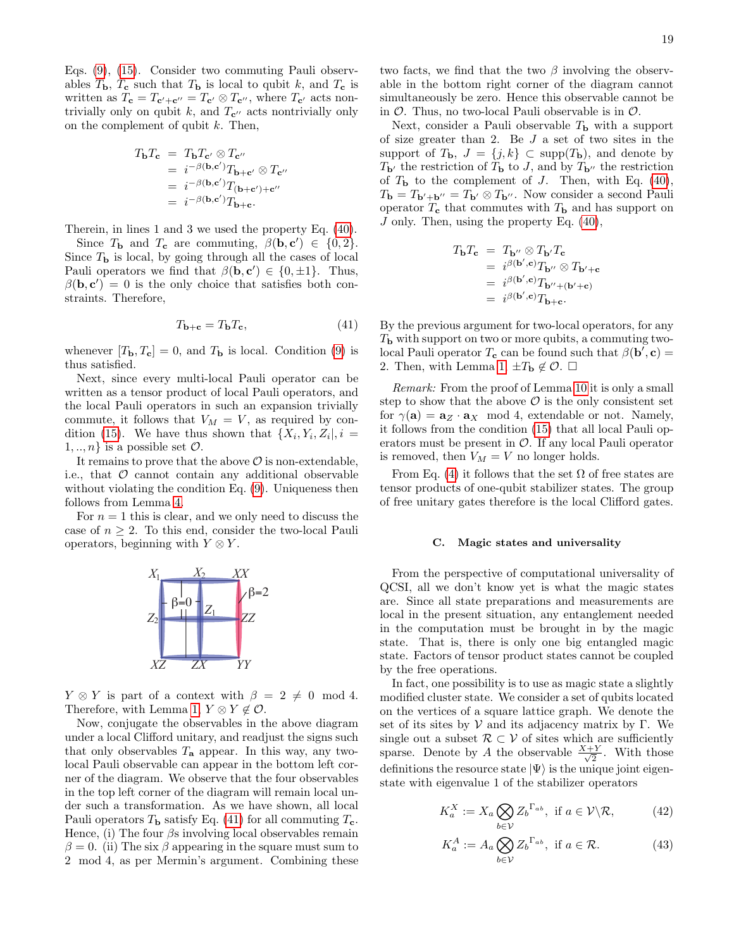Eqs. [\(9\)](#page-5-1), [\(15\)](#page-7-1). Consider two commuting Pauli observables  $T_{\rm b}$ ,  $T_{\rm c}$  such that  $T_{\rm b}$  is local to qubit k, and  $T_{\rm c}$  is written as  $T_c = T_{c'+c''} = T_{c'} \otimes T_{c''}$ , where  $T_{c'}$  acts nontrivially only on qubit k, and  $T_{\mathbf{c}^{\prime\prime}}$  acts nontrivially only on the complement of qubit  $k$ . Then,

$$
T_{\mathbf{b}}T_{\mathbf{c}} = T_{\mathbf{b}}T_{\mathbf{c}'} \otimes T_{\mathbf{c}''}
$$
  
=  $i^{-\beta(\mathbf{b}, \mathbf{c}')}T_{\mathbf{b}+\mathbf{c}'} \otimes T_{\mathbf{c}''}$   
=  $i^{-\beta(\mathbf{b}, \mathbf{c}')}T_{(\mathbf{b}+\mathbf{c}')+\mathbf{c}''}$   
=  $i^{-\beta(\mathbf{b}, \mathbf{c}')}T_{\mathbf{b}+\mathbf{c}}.$ 

Therein, in lines 1 and 3 we used the property Eq. [\(40\)](#page-17-5).

Since  $T_{\mathbf{b}}$  and  $T_{\mathbf{c}}$  are commuting,  $\beta(\mathbf{b}, \mathbf{c}') \in \{0, 2\}.$ Since  $T<sub>b</sub>$  is local, by going through all the cases of local Pauli operators we find that  $\beta(\mathbf{b}, \mathbf{c}') \in \{0, \pm 1\}$ . Thus,  $\beta(\mathbf{b}, \mathbf{c}') = 0$  is the only choice that satisfies both constraints. Therefore,

<span id="page-18-0"></span>
$$
T_{\mathbf{b}+\mathbf{c}} = T_{\mathbf{b}} T_{\mathbf{c}},\tag{41}
$$

whenever  $[T_{\mathbf{b}}, T_{\mathbf{c}}] = 0$ , and  $T_{\mathbf{b}}$  is local. Condition [\(9\)](#page-5-1) is thus satisfied.

Next, since every multi-local Pauli operator can be written as a tensor product of local Pauli operators, and the local Pauli operators in such an expansion trivially commute, it follows that  $V_M = V$ , as required by con-dition [\(15\)](#page-7-1). We have thus shown that  $\{X_i, Y_i, Z_i\}$ ,  $i =$  $1, ..., n$  is a possible set  $\mathcal{O}$ .

It remains to prove that the above  $\mathcal O$  is non-extendable, i.e., that  $\mathcal O$  cannot contain any additional observable without violating the condition Eq.  $(9)$ . Uniqueness then follows from Lemma [4.](#page-7-2)

For  $n = 1$  this is clear, and we only need to discuss the case of  $n \geq 2$ . To this end, consider the two-local Pauli operators, beginning with  $Y \otimes Y$ .



 $Y \otimes Y$  is part of a context with  $\beta = 2 \neq 0 \mod 4$ . Therefore, with Lemma [1,](#page-5-2)  $Y \otimes Y \notin \mathcal{O}$ .

Now, conjugate the observables in the above diagram under a local Clifford unitary, and readjust the signs such that only observables  $T_a$  appear. In this way, any twolocal Pauli observable can appear in the bottom left corner of the diagram. We observe that the four observables in the top left corner of the diagram will remain local under such a transformation. As we have shown, all local Pauli operators  $T_{\rm b}$  satisfy Eq. [\(41\)](#page-18-0) for all commuting  $T_{\rm c}$ . Hence, (i) The four  $\beta$ s involving local observables remain  $\beta = 0$ . (ii) The six  $\beta$  appearing in the square must sum to 2 mod 4, as per Mermin's argument. Combining these two facts, we find that the two  $\beta$  involving the observable in the bottom right corner of the diagram cannot simultaneously be zero. Hence this observable cannot be in  $\mathcal O$ . Thus, no two-local Pauli observable is in  $\mathcal O$ .

Next, consider a Pauli observable  $T<sub>b</sub>$  with a support of size greater than 2. Be  $J$  a set of two sites in the support of  $T_{\mathbf{b}}$ ,  $J = \{j, k\} \subset \text{supp}(T_{\mathbf{b}})$ , and denote by  $T_{\mathbf{b}}$  the restriction of  $T_{\mathbf{b}}$  to J, and by  $T_{\mathbf{b}}$  the restriction of  $T<sub>b</sub>$  to the complement of J. Then, with Eq. [\(40\)](#page-17-5),  $T_{\mathbf{b}}=T_{\mathbf{b}'+\mathbf{b}''}=T_{\mathbf{b}'}\otimes T_{\mathbf{b}''}.$  Now consider a second Pauli operator  $T_c$  that commutes with  $T<sub>b</sub>$  and has support on J only. Then, using the property Eq. [\(40\)](#page-17-5),

$$
T_{\mathbf{b}}T_{\mathbf{c}} = T_{\mathbf{b}''} \otimes T_{\mathbf{b}'}T_{\mathbf{c}}
$$
  
=  $i^{\beta(\mathbf{b}', \mathbf{c})}T_{\mathbf{b}''} \otimes T_{\mathbf{b}'+\mathbf{c}}$   
=  $i^{\beta(\mathbf{b}', \mathbf{c})}T_{\mathbf{b}''+(\mathbf{b}'+\mathbf{c})}$   
=  $i^{\beta(\mathbf{b}', \mathbf{c})}T_{\mathbf{b}+\mathbf{c}}$ .

By the previous argument for two-local operators, for any  $T<sub>b</sub>$  with support on two or more qubits, a commuting twolocal Pauli operator  $T_c$  can be found such that  $\beta({\bf b}',{\bf c})=$ 2. Then, with Lemma [1,](#page-5-2)  $\pm T_{\mathbf{b}} \notin \mathcal{O}$ .  $\square$ 

Remark: From the proof of Lemma [10](#page-17-4) it is only a small step to show that the above  $\mathcal O$  is the only consistent set for  $\gamma(\mathbf{a}) = \mathbf{a}_Z \cdot \mathbf{a}_X \mod 4$ , extendable or not. Namely, it follows from the condition [\(15\)](#page-7-1) that all local Pauli operators must be present in  $\mathcal{O}$ . If any local Pauli operator is removed, then  $V_M = V$  no longer holds.

From Eq. [\(4\)](#page-4-0) it follows that the set  $\Omega$  of free states are tensor products of one-qubit stabilizer states. The group of free unitary gates therefore is the local Clifford gates.

#### C. Magic states and universality

From the perspective of computational universality of QCSI, all we don't know yet is what the magic states are. Since all state preparations and measurements are local in the present situation, any entanglement needed in the computation must be brought in by the magic state. That is, there is only one big entangled magic state. Factors of tensor product states cannot be coupled by the free operations.

In fact, one possibility is to use as magic state a slightly modified cluster state. We consider a set of qubits located on the vertices of a square lattice graph. We denote the set of its sites by  $V$  and its adjacency matrix by Γ. We single out a subset  $\mathcal{R} \subset \mathcal{V}$  of sites which are sufficiently sparse. Denote by A the observable  $\frac{X+Y}{\sqrt{2}}$  $\frac{Y}{2}$ . With those definitions the resource state  $|\Psi\rangle$  is the unique joint eigenstate with eigenvalue 1 of the stabilizer operators

$$
K_a^X := X_a \bigotimes_{b \in \mathcal{V}} Z_b^{\Gamma_{ab}}, \text{ if } a \in \mathcal{V} \backslash \mathcal{R}, \tag{42}
$$

<span id="page-18-2"></span><span id="page-18-1"></span>
$$
K_a^A := A_a \bigotimes_{b \in \mathcal{V}} Z_b^{\Gamma_{ab}}, \text{ if } a \in \mathcal{R}.
$$
 (43)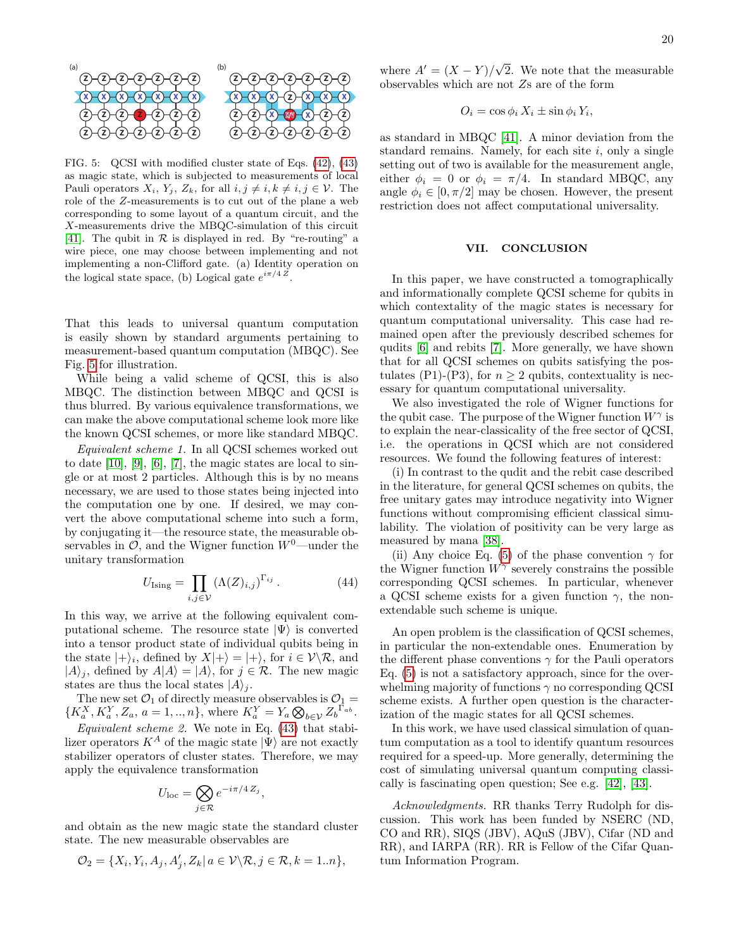

<span id="page-19-1"></span>FIG. 5: QCSI with modified cluster state of Eqs. [\(42\)](#page-18-1), [\(43\)](#page-18-2) as magic state, which is subjected to measurements of local Pauli operators  $X_i$ ,  $Y_j$ ,  $Z_k$ , for all  $i, j \neq i, k \neq i, j \in \mathcal{V}$ . The role of the Z-measurements is to cut out of the plane a web corresponding to some layout of a quantum circuit, and the X-measurements drive the MBQC-simulation of this circuit [\[41\]](#page-20-33). The qubit in  $R$  is displayed in red. By "re-routing" a wire piece, one may choose between implementing and not implementing a non-Clifford gate. (a) Identity operation on the logical state space, (b) Logical gate  $e^{i\pi/4 Z}$ .

That this leads to universal quantum computation is easily shown by standard arguments pertaining to measurement-based quantum computation (MBQC). See Fig. [5](#page-19-1) for illustration.

While being a valid scheme of QCSI, this is also MBQC. The distinction between MBQC and QCSI is thus blurred. By various equivalence transformations, we can make the above computational scheme look more like the known QCSI schemes, or more like standard MBQC.

Equivalent scheme 1. In all QCSI schemes worked out to date [\[10\]](#page-20-19), [\[9\]](#page-20-5), [\[6\]](#page-20-2), [\[7\]](#page-20-3), the magic states are local to single or at most 2 particles. Although this is by no means necessary, we are used to those states being injected into the computation one by one. If desired, we may convert the above computational scheme into such a form, by conjugating it—the resource state, the measurable observables in  $\mathcal{O}$ , and the Wigner function  $W^0$ —under the unitary transformation

$$
U_{\text{Ising}} = \prod_{i,j \in \mathcal{V}} (\Lambda(Z)_{i,j})^{\Gamma_{ij}}.
$$
 (44)

In this way, we arrive at the following equivalent computational scheme. The resource state  $|\Psi\rangle$  is converted into a tensor product state of individual qubits being in the state  $|+\rangle_i$ , defined by  $X|+\rangle = |+\rangle$ , for  $i \in \mathcal{V}\backslash \mathcal{R}$ , and  $|A\rangle_j$ , defined by  $A|A\rangle = |A\rangle$ , for  $j \in \mathcal{R}$ . The new magic states are thus the local states  $|A\rangle_i$ .

The new set  $\mathcal{O}_1$  of directly measure observables is  $\mathcal{O}_1$  =  ${K_a^X, K_a^Y, Z_a, a = 1, ..., n},$  where  $K_a^Y = Y_a \bigotimes_{b \in \mathcal{V}} Z_b^{\Gamma_{ab}}.$ 

Equivalent scheme 2. We note in Eq.  $(43)$  that stabilizer operators  $K^A$  of the magic state  $|\Psi\rangle$  are not exactly stabilizer operators of cluster states. Therefore, we may apply the equivalence transformation

$$
U_{\rm loc} = \bigotimes_{j \in \mathcal{R}} e^{-i\pi/4 Z_j}
$$

,

and obtain as the new magic state the standard cluster state. The new measurable observables are

$$
\mathcal{O}_2 = \{X_i, Y_i, A_j, A'_j, Z_k | a \in \mathcal{V} \backslash \mathcal{R}, j \in \mathcal{R}, k = 1..n\},\
$$

where  $A' = (X - Y)/\sqrt{ }$ 2. We note that the measurable observables which are not  $Zs$  are of the form

$$
O_i = \cos \phi_i X_i \pm \sin \phi_i Y_i,
$$

as standard in MBQC [\[41\]](#page-20-33). A minor deviation from the standard remains. Namely, for each site  $i$ , only a single setting out of two is available for the measurement angle, either  $\phi_i = 0$  or  $\phi_i = \pi/4$ . In standard MBQC, any angle  $\phi_i \in [0, \pi/2]$  may be chosen. However, the present restriction does not affect computational universality.

# <span id="page-19-0"></span>VII. CONCLUSION

In this paper, we have constructed a tomographically and informationally complete QCSI scheme for qubits in which contextality of the magic states is necessary for quantum computational universality. This case had remained open after the previously described schemes for qudits [\[6\]](#page-20-2) and rebits [\[7\]](#page-20-3). More generally, we have shown that for all QCSI schemes on qubits satisfying the postulates (P1)-(P3), for  $n \geq 2$  qubits, contextuality is necessary for quantum computational universality.

We also investigated the role of Wigner functions for the qubit case. The purpose of the Wigner function  $W^{\gamma}$  is to explain the near-classicality of the free sector of QCSI, i.e. the operations in QCSI which are not considered resources. We found the following features of interest:

(i) In contrast to the qudit and the rebit case described in the literature, for general QCSI schemes on qubits, the free unitary gates may introduce negativity into Wigner functions without compromising efficient classical simulability. The violation of positivity can be very large as measured by mana [\[38\]](#page-20-30).

(ii) Any choice Eq. [\(5\)](#page-4-2) of the phase convention  $\gamma$  for the Wigner function  $W^{\gamma}$  severely constrains the possible corresponding QCSI schemes. In particular, whenever a QCSI scheme exists for a given function  $\gamma$ , the nonextendable such scheme is unique.

An open problem is the classification of QCSI schemes, in particular the non-extendable ones. Enumeration by the different phase conventions  $\gamma$  for the Pauli operators Eq. [\(5\)](#page-4-2) is not a satisfactory approach, since for the overwhelming majority of functions  $\gamma$  no corresponding QCSI scheme exists. A further open question is the characterization of the magic states for all QCSI schemes.

In this work, we have used classical simulation of quantum computation as a tool to identify quantum resources required for a speed-up. More generally, determining the cost of simulating universal quantum computing classically is fascinating open question; See e.g. [\[42\]](#page-20-34), [\[43\]](#page-20-35).

Acknowledgments. RR thanks Terry Rudolph for discussion. This work has been funded by NSERC (ND, CO and RR), SIQS (JBV), AQuS (JBV), Cifar (ND and RR), and IARPA (RR). RR is Fellow of the Cifar Quantum Information Program.